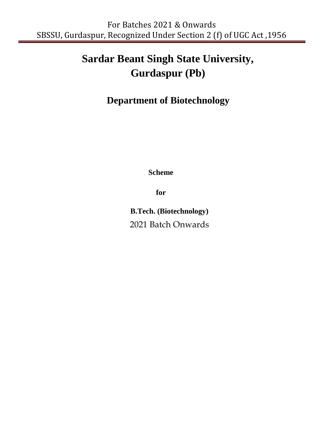# **Sardar Beant Singh State University, Gurdaspur (Pb)**

# **Department of Biotechnology**

**Scheme**

**for**

**B.Tech. (Biotechnology)** 2021 Batch Onwards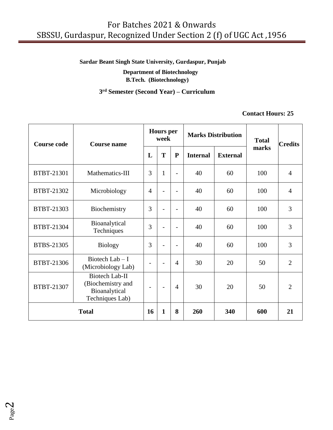# **Sardar Beant Singh State University, Gurdaspur, Punjab**

 **Department of Biotechnology B.Tech. (Biotechnology)**

#### **3 rd Semester (Second Year) – Curriculum**

#### **Contact Hours: 25**

| <b>Course code</b> | Course name                                                             | <b>Hours</b> per<br>week |              |                          |                 | <b>Marks Distribution</b> | <b>Total</b> | <b>Credits</b> |
|--------------------|-------------------------------------------------------------------------|--------------------------|--------------|--------------------------|-----------------|---------------------------|--------------|----------------|
|                    |                                                                         | L                        | T            | ${\bf P}$                | <b>Internal</b> | <b>External</b>           | marks        |                |
| BTBT-21301         | Mathematics-III                                                         | 3                        | $\mathbf{1}$ | $\overline{\phantom{0}}$ | 40              | 60                        | 100          | $\overline{4}$ |
| BTBT-21302         | Microbiology                                                            | 4                        |              |                          | 40              | 60                        | 100          | $\overline{4}$ |
| BTBT-21303         | Biochemistry                                                            | 3                        |              | $\overline{a}$           | 40              | 60                        | 100          | 3              |
| BTBT-21304         | Bioanalytical<br>Techniques                                             | 3                        |              | $\overline{\phantom{0}}$ | 40              | 60                        | 100          | 3              |
| BTBS-21305         | <b>Biology</b>                                                          | 3                        |              |                          | 40              | 60                        | 100          | 3              |
| BTBT-21306         | Biotech Lab $- I$<br>(Microbiology Lab)                                 |                          |              | $\overline{4}$           | 30              | 20                        | 50           | $\overline{2}$ |
| BTBT-21307         | Biotech Lab-II<br>(Biochemistry and<br>Bioanalytical<br>Techniques Lab) |                          |              | $\overline{4}$           | 30              | 20                        | 50           | $\overline{2}$ |
| <b>Total</b>       |                                                                         |                          | $\mathbf{1}$ | 8                        | 260             | 340                       | 600          | 21             |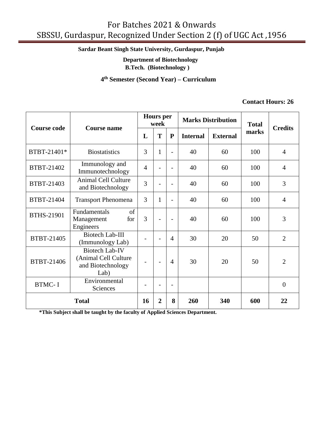**Sardar Beant Singh State University, Gurdaspur, Punjab** 

 **Department of Biotechnology**

**B.Tech. (Biotechnology )**

 **4 th Semester (Second Year) – Curriculum**

#### **Contact Hours: 26**

| <b>Course code</b>                                                                       | <b>Course name</b>                                          |                | <b>Hours</b> per<br>week |                |                 | <b>Marks Distribution</b> | <b>Total</b> | <b>Credits</b> |  |
|------------------------------------------------------------------------------------------|-------------------------------------------------------------|----------------|--------------------------|----------------|-----------------|---------------------------|--------------|----------------|--|
|                                                                                          |                                                             | L              | T                        | ${\bf P}$      | <b>Internal</b> | <b>External</b>           | marks        |                |  |
| BTBT-21401*                                                                              | <b>Biostatistics</b>                                        | 3              | $\mathbf{1}$             | $\overline{a}$ | 40              | 60                        | 100          | $\overline{4}$ |  |
| BTBT-21402                                                                               | Immunology and<br>Immunotechnology                          | $\overline{4}$ | $\overline{a}$           | $\blacksquare$ | 40              | 60                        | 100          | $\overline{4}$ |  |
| BTBT-21403                                                                               | <b>Animal Cell Culture</b><br>and Biotechnology             | 3              | $\overline{\phantom{0}}$ | $\overline{a}$ | 40              | 60                        | 100          | 3              |  |
| BTBT-21404                                                                               | <b>Transport Phenomena</b>                                  | 3              | $\mathbf{1}$             | $\overline{a}$ | 40              | 60                        | 100          | $\overline{4}$ |  |
| <b>BTHS-21901</b>                                                                        | <b>Fundamentals</b><br>of<br>for<br>Management<br>Engineers |                | ÷                        | $\blacksquare$ | 40              | 60                        | 100          | 3              |  |
| BTBT-21405                                                                               | <b>Biotech Lab-III</b><br>(Immunology Lab)                  |                | $\overline{\phantom{0}}$ | $\overline{4}$ | 30              | 20                        | 50           | $\overline{2}$ |  |
| <b>Biotech Lab-IV</b><br>(Animal Cell Culture<br>BTBT-21406<br>and Biotechnology<br>Lab) |                                                             |                | $\overline{\phantom{0}}$ | $\overline{4}$ | 30              | 20                        | 50           | $\overline{2}$ |  |
| <b>BTMC-I</b>                                                                            | Environmental<br>Sciences                                   |                |                          |                |                 |                           |              | $\overline{0}$ |  |
| <b>Total</b>                                                                             |                                                             |                | $\overline{2}$           | 8              | 260             | 340                       | 600          | 22             |  |

**\*This Subject shall be taught by the faculty of Applied Sciences Department.**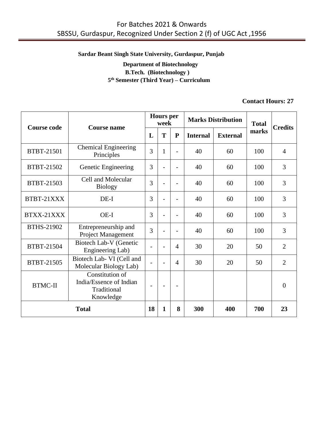#### **Sardar Beant Singh State University, Gurdaspur, Punjab**

# **Department of Biotechnology B.Tech. (Biotechnology ) 5 th Semester (Third Year) – Curriculum**

#### **Contact Hours: 27**

| <b>Course code</b> | <b>Course name</b>                                                     |                | <b>Hours</b> per<br>week |                |                 | <b>Marks Distribution</b> | <b>Total</b> | <b>Credits</b> |
|--------------------|------------------------------------------------------------------------|----------------|--------------------------|----------------|-----------------|---------------------------|--------------|----------------|
|                    |                                                                        | L              | T                        | $\mathbf{P}$   | <b>Internal</b> | <b>External</b>           | marks        |                |
| BTBT-21501         | <b>Chemical Engineering</b><br>Principles                              | 3              | 1                        |                | 40              | 60                        | 100          | $\overline{4}$ |
| BTBT-21502         | Genetic Engineering                                                    | 3              |                          | $\overline{a}$ | 40              | 60                        | 100          | 3              |
| BTBT-21503         | Cell and Molecular<br>3<br>40<br>60<br><b>Biology</b>                  |                | 100                      | 3              |                 |                           |              |                |
| BTBT-21XXX         | $DE-I$                                                                 | 3              |                          |                | 40              | 60                        | 100          | 3              |
| BTXX-21XXX         | $OE-I$                                                                 | 3              |                          |                | 40              | 60                        | 100          | 3              |
| BTHS-21902         | Entrepreneurship and<br>Project Management                             | 3              |                          | $\overline{a}$ | 40              | 60                        | 100          | 3              |
| BTBT-21504         | Biotech Lab-V (Genetic<br>Engineering Lab)                             |                |                          | $\overline{4}$ | 30              | 20                        | 50           | $\overline{2}$ |
| BTBT-21505         | Biotech Lab- VI (Cell and<br>Molecular Biology Lab)                    |                |                          | $\overline{4}$ | 30              | 20                        | 50           | $\overline{2}$ |
| <b>BTMC-II</b>     | Constitution of<br>India/Essence of Indian<br>Traditional<br>Knowledge | $\overline{a}$ |                          |                |                 |                           |              | $\Omega$       |
| <b>Total</b>       |                                                                        |                | 1                        | 8              | 300             | 400                       | 700          | 23             |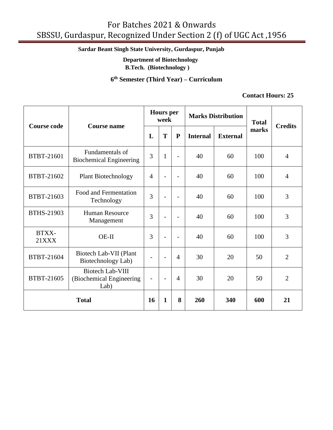# **Sardar Beant Singh State University, Gurdaspur, Punjab**

 **Department of Biotechnology**

**B.Tech. (Biotechnology )**

**6 th Semester (Third Year) – Curriculum**

#### **Contact Hours: 25**

| <b>Course code</b>    | <b>Course name</b>                                                                                     | <b>Hours</b> per<br>week |                          |                          |                 | <b>Marks Distribution</b> | <b>Total</b> | <b>Credits</b> |
|-----------------------|--------------------------------------------------------------------------------------------------------|--------------------------|--------------------------|--------------------------|-----------------|---------------------------|--------------|----------------|
|                       |                                                                                                        | L                        | T                        | ${\bf P}$                | <b>Internal</b> | <b>External</b>           | marks        |                |
| BTBT-21601            | Fundamentals of<br>3<br>$\mathbf{1}$<br>40<br>60<br>$\overline{a}$<br><b>Biochemical Engineering</b>   |                          | 100                      | $\overline{4}$           |                 |                           |              |                |
| BTBT-21602            | $\overline{4}$<br>60<br><b>Plant Biotechnology</b><br>40<br>$\overline{a}$<br>$\overline{\phantom{0}}$ |                          | 100                      | $\overline{4}$           |                 |                           |              |                |
| BTBT-21603            | Food and Fermentation<br>Technology                                                                    | 3                        | $\overline{\phantom{0}}$ | $\overline{\phantom{a}}$ | 40              | 60                        | 100          | 3              |
| BTHS-21903            | <b>Human Resource</b><br>Management                                                                    | 3                        | $\overline{\phantom{0}}$ | $\overline{\phantom{0}}$ | 40              | 60                        | 100          | 3              |
| BTXX-<br><b>21XXX</b> | $OE-II$                                                                                                | 3                        |                          | $\overline{\phantom{0}}$ | 40              | 60                        | 100          | 3              |
| BTBT-21604            | Biotech Lab-VII (Plant<br>Biotechnology Lab)                                                           | $\overline{\phantom{a}}$ | $\blacksquare$           | $\overline{4}$           | 30              | 20                        | 50           | $\overline{2}$ |
| BTBT-21605            | <b>Biotech Lab-VIII</b><br>(Biochemical Engineering<br>Lab)                                            | $\overline{\phantom{a}}$ | $\blacksquare$           | $\overline{4}$           | 30              | 20                        | 50           | $\overline{2}$ |
| <b>Total</b>          |                                                                                                        |                          | $\mathbf{1}$             | 8                        | 260             | 340                       | 600          | 21             |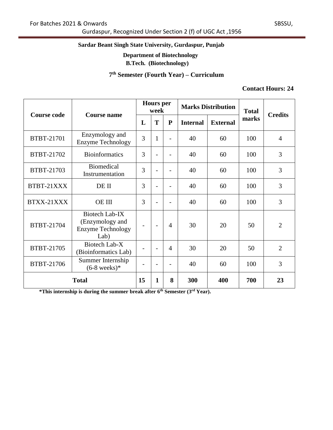Gurdaspur, Recognized Under Section 2 (f) of UGC Act ,1956

# **Sardar Beant Singh State University, Gurdaspur, Punjab**

# **Department of Biotechnology**

**B.Tech. (Biotechnology)**

#### **7 th Semester (Fourth Year) – Curriculum**

#### **Contact Hours: 24**

| <b>Course code</b> | <b>Course name</b>                                                    |   | <b>Hours</b> per<br>week |                          |                 | <b>Marks Distribution</b> | <b>Total</b> | <b>Credits</b> |  |
|--------------------|-----------------------------------------------------------------------|---|--------------------------|--------------------------|-----------------|---------------------------|--------------|----------------|--|
|                    |                                                                       | L | T                        | ${\bf P}$                | <b>Internal</b> | <b>External</b>           | marks        |                |  |
| BTBT-21701         | Enzymology and<br>3<br><b>Enzyme Technology</b>                       |   | $\mathbf{1}$             |                          | 40              | 60                        | 100          | $\overline{4}$ |  |
| BTBT-21702         | 3<br><b>Bioinformatics</b><br>40<br>60                                |   | 100                      | 3                        |                 |                           |              |                |  |
| BTBT-21703         | <b>Biomedical</b><br>3<br>40<br>60<br>Instrumentation                 |   | 100                      | 3                        |                 |                           |              |                |  |
| BTBT-21XXX         | DE II                                                                 | 3 |                          |                          | 40              | 60                        | 100          | 3              |  |
| BTXX-21XXX         | <b>OE III</b>                                                         | 3 |                          |                          | 40              | 60                        | 100          | 3              |  |
| BTBT-21704         | Biotech Lab-IX<br>(Enzymology and<br><b>Enzyme Technology</b><br>Lab) |   |                          | $\overline{4}$           | 30              | 20                        | 50           | $\overline{2}$ |  |
| BTBT-21705         | Biotech Lab-X<br>(Bioinformatics Lab)                                 |   |                          | $\overline{4}$           | 30              | 20                        | 50           | $\overline{2}$ |  |
| BTBT-21706         | Summer Internship<br>$(6-8 \text{ weeks})$ *                          |   | $\overline{\phantom{a}}$ | $\overline{\phantom{a}}$ | 40              | 60                        | 100          | 3              |  |
| <b>Total</b>       |                                                                       |   | 1                        | 8                        | 300             | 400                       | 700          | 23             |  |

**\*This internship is during the summer break after 6th Semester (3rd Year).**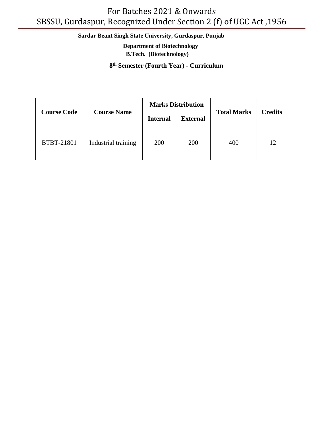# **Sardar Beant Singh State University, Gurdaspur, Punjab**

 **Department of Biotechnology B.Tech. (Biotechnology)**

**8 th Semester (Fourth Year) - Curriculum**

|                    |                     |                                    | <b>Marks Distribution</b> |                    |                |  |
|--------------------|---------------------|------------------------------------|---------------------------|--------------------|----------------|--|
| <b>Course Code</b> | <b>Course Name</b>  | <b>External</b><br><b>Internal</b> |                           | <b>Total Marks</b> | <b>Credits</b> |  |
| <b>BTBT-21801</b>  | Industrial training | 200                                | 200                       | 400                | 12             |  |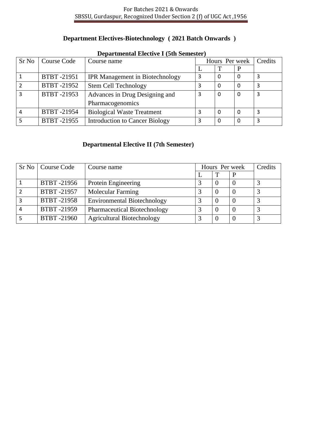# **Department Electives-Biotechnology ( 2021 Batch Onwards )**

| Departmentar Biech (et a centester) |                   |                                        |   |                |          |         |
|-------------------------------------|-------------------|----------------------------------------|---|----------------|----------|---------|
| Sr No                               | Course Code       | Course name                            |   | Hours Per week |          | Credits |
|                                     |                   |                                        |   |                |          |         |
|                                     | <b>BTBT-21951</b> | <b>IPR Management in Biotechnology</b> | 3 | $\Omega$       | $\Omega$ | 3       |
|                                     | BTBT-21952        | <b>Stem Cell Technology</b>            |   | 0              | 0        | 3       |
| $\mathbf{3}$                        | BTBT-21953        | Advances in Drug Designing and         |   | 0              | $\Omega$ | 3       |
|                                     |                   | Pharmacogenomics                       |   |                |          |         |
| 4                                   | <b>BTBT-21954</b> | <b>Biological Waste Treatment</b>      |   | $\Omega$       | $\Omega$ | 3       |
|                                     | BTBT-21955        | <b>Introduction to Cancer Biology</b>  |   | 0              | $\Omega$ | 3       |

#### **Departmental Elective I (5th Semester)**

# **Departmental Elective II (7th Semester)**

|   | Sr No   Course Code | Course name                         | Hours Per week | Credits |  |
|---|---------------------|-------------------------------------|----------------|---------|--|
|   |                     |                                     |                | p       |  |
|   | BTBT -21956         | Protein Engineering                 |                |         |  |
|   | <b>BTBT-21957</b>   | Molecular Farming                   |                |         |  |
|   | <b>BTBT-21958</b>   | <b>Environmental Biotechnology</b>  |                |         |  |
| 4 | <b>BTBT-21959</b>   | <b>Pharmaceutical Biotechnology</b> | っ              |         |  |
|   | <b>BTBT-21960</b>   | <b>Agricultural Biotechnology</b>   | っ              |         |  |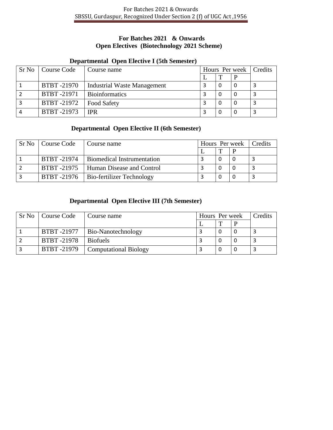## **For Batches 2021 & Onwards Open Electives (Biotechnology 2021 Scheme)**

# **Departmental Open Elective I (5th Semester)**

| Sr No   Course Code | Course name                        |  | Hours Per week   Credits |
|---------------------|------------------------------------|--|--------------------------|
|                     |                                    |  |                          |
| <b>BTBT-21970</b>   | <b>Industrial Waste Management</b> |  |                          |
| <b>BTBT-21971</b>   | <b>Bioinformatics</b>              |  |                          |
| <b>BTBT-21972</b>   | <b>Food Safety</b>                 |  |                          |
| <b>BTBT-21973</b>   | <b>IPR</b>                         |  |                          |

# **Departmental Open Elective II (6th Semester)**

| Sr No Course Code | Course name                             | Hours Per week   Credits |  |  |
|-------------------|-----------------------------------------|--------------------------|--|--|
|                   |                                         |                          |  |  |
| <b>BTBT-21974</b> | <b>Biomedical Instrumentation</b>       |                          |  |  |
|                   | BTBT-21975   Human Disease and Control  |                          |  |  |
|                   | BTBT -21976   Bio-fertilizer Technology |                          |  |  |

# **Departmental Open Elective III (7th Semester)**

| Sr No   Course Code | Course name                  | Hours Per week |  | Credits |  |
|---------------------|------------------------------|----------------|--|---------|--|
|                     |                              |                |  |         |  |
| BTBT-21977          | <b>Bio-Nanotechnology</b>    |                |  |         |  |
| <b>BTBT-21978</b>   | <b>Biofuels</b>              |                |  |         |  |
| <b>BTBT-21979</b>   | <b>Computational Biology</b> |                |  |         |  |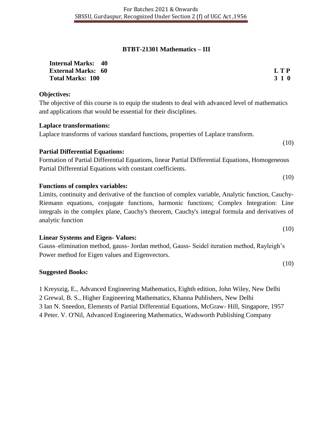#### **BTBT-21301 Mathematics – III**

| <b>Internal Marks: 40</b> |            |
|---------------------------|------------|
| <b>External Marks: 60</b> | <b>LTP</b> |
| <b>Total Marks: 100</b>   | 3 1 0      |

#### **Objectives:**

The objective of this course is to equip the students to deal with advanced level of mathematics and applications that would be essential for their disciplines.

#### **Laplace transformations:**

Laplace transforms of various standard functions, properties of Laplace transform.

#### **Partial Differential Equations:**

Formation of Partial Differential Equations, linear Partial Differential Equations, Homogeneous Partial Differential Equations with constant coefficients.

#### **Functions of complex variables:**

Limits, continuity and derivative of the function of complex variable, Analytic function, Cauchy-Riemann equations, conjugate functions, harmonic functions; Complex Integration: Line integrals in the complex plane, Cauchy's theorem, Cauchy's integral formula and derivatives of analytic function

#### **Linear Systems and Eigen- Values:**

Gauss–elimination method, gauss- Jordan method, Gauss- Seidel iteration method, Rayleigh's Power method for Eigen values and Eigenvectors.

#### **Suggested Books:**

1 Kreyszig, E., Advanced Engineering Mathematics, Eighth edition, John Wiley, New Delhi

2 Grewal, B. S., Higher Engineering Mathematics, Khanna Publishers, New Delhi

3 Ian N. Sneedon, Elements of Partial Differential Equations, McGraw- Hill, Singapore, 1957

4 Peter. V. O'Nil, Advanced Engineering Mathematics, Wadsworth Publishing Company

(10)

(10)

(10)

(10)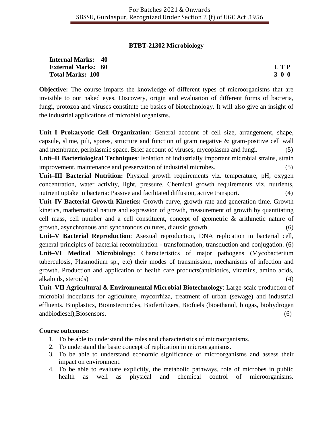#### **BTBT-21302 Microbiology**

#### **Internal Marks: 40 External Marks: 60 L T P Total Marks: 100 3 0 0**

**Objective:** The course imparts the knowledge of different types of microorganisms that are invisible to our naked eyes. Discovery, origin and evaluation of different forms of bacteria, fungi, protozoa and viruses constitute the basics of biotechnology. It will also give an insight of the industrial applications of microbial organisms.

**Unit–I Prokaryotic Cell Organization**: General account of cell size, arrangement, shape, capsule, slime, pili, spores, structure and function of gram negative  $\&$  gram-positive cell wall and membrane, periplasmic space. Brief account of viruses, mycoplasma and fungi. (5) **Unit–II Bacteriological Techniques**: Isolation of industrially important microbial strains, strain improvement, maintenance and preservation of industrial microbes. (5)

**Unit–III Bacterial Nutrition:** Physical growth requirements viz. temperature, pH, oxygen concentration, water activity, light, pressure. Chemical growth requirements viz. nutrients, nutrient uptake in bacteria: Passive and facilitated diffusion, active transport. (4)

**Unit–IV Bacterial Growth Kinetics:** Growth curve, growth rate and generation time. Growth kinetics, mathematical nature and expression of growth, measurement of growth by quantitating cell mass, cell number and a cell constituent, concept of geometric & arithmetic nature of growth, asynchronous and synchronous cultures, diauxic growth. (6)

**Unit–V Bacterial Reproduction**: Asexual reproduction, DNA replication in bacterial cell, general principles of bacterial recombination - transformation, transduction and conjugation. (6) **Unit–VI Medical Microbiology**: Characteristics of major pathogens (Mycobacterium tuberculosis, Plasmodium sp., etc) their modes of transmission, mechanisms of infection and growth. Production and application of health care products(antibiotics, vitamins, amino acids, alkaloids, steroids) (4)

**Unit–VII Agricultural & Environmental Microbial Biotechnology**: Large-scale production of microbial inoculants for agriculture, mycorrhiza, treatment of urban (sewage) and industrial effluents. Bioplastics, Bioinstecticides, Biofertilizers, Biofuels (bioethanol, biogas, biohydrogen andbiodiesel),Biosensors. (6)

#### **Course outcomes:**

- 1. To be able to understand the roles and characteristics of microorganisms.
- 2. To understand the basic concept of replication in microorganisms.
- 3. To be able to understand economic significance of microorganisms and assess their impact on environment.
- 4. To be able to evaluate explicitly, the metabolic pathways, role of microbes in public health as well as physical and chemical control of microorganisms.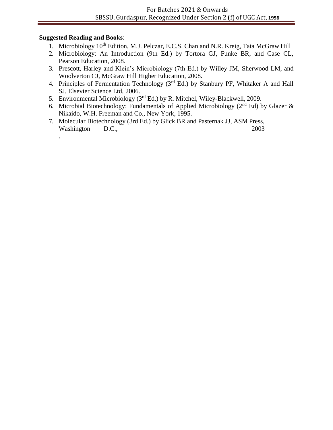#### **Suggested Reading and Books**:

.

- 1. Microbiology 10<sup>th</sup> Edition, M.J. Pelczar, E.C.S. Chan and N.R. Kreig, Tata McGraw Hill
- 2. Microbiology: An Introduction (9th Ed.) by Tortora GJ, Funke BR, and Case CL, Pearson Education, 2008.
- 3. Prescott, Harley and Klein's Microbiology (7th Ed.) by Willey JM, Sherwood LM, and Woolverton CJ, McGraw Hill Higher Education, 2008.
- 4. Principles of Fermentation Technology (3<sup>rd</sup> Ed.) by Stanbury PF, Whitaker A and Hall SJ, Elsevier Science Ltd, 2006.
- 5. Environmental Microbiology ( $3<sup>rd</sup>$  Ed.) by R. Mitchel, Wiley-Blackwell, 2009.
- 6. Microbial Biotechnology: Fundamentals of Applied Microbiology ( $2<sup>nd</sup> Ed$ ) by Glazer & Nikaido, W.H. Freeman and Co., New York, 1995.
- 7. Molecular Biotechnology (3rd Ed.) by Glick BR and Pasternak JJ, ASM Press, Washington D.C., 2003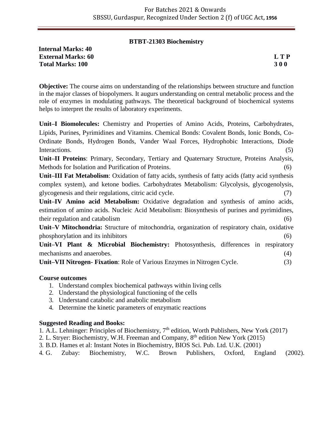#### **BTBT-21303 Biochemistry**

**Internal Marks: 40 External Marks: 60 L T P Total Marks: 100 3 0 0**

**Objective:** The course aims on understanding of the relationships between structure and function in the major classes of biopolymers. It augurs understanding on central metabolic process and the role of enzymes in modulating pathways. The theoretical background of biochemical systems helps to interpret the results of laboratory experiments.

**Unit–I Biomolecules:** Chemistry and Properties of Amino Acids, Proteins, Carbohydrates, Lipids, Purines, Pyrimidines and Vitamins. Chemical Bonds: Covalent Bonds, Ionic Bonds, Co-Ordinate Bonds, Hydrogen Bonds, Vander Waal Forces, Hydrophobic Interactions, Diode Interactions. (5)

**Unit–II Proteins**: Primary, Secondary, Tertiary and Quaternary Structure, Proteins Analysis, Methods for Isolation and Purification of Proteins.

**Unit–III Fat Metabolism**: Oxidation of fatty acids, synthesis of fatty acids (fatty acid synthesis complex system), and ketone bodies. Carbohydrates Metabolism: Glycolysis, glycogenolysis, glycogenesis and their regulations, citric acid cycle. (7)

**Unit–IV Amino acid Metabolism:** Oxidative degradation and synthesis of amino acids, estimation of amino acids. Nucleic Acid Metabolism: Biosynthesis of purines and pyrimidines, their regulation and catabolism (6)

**Unit–V Mitochondria:** Structure of mitochondria, organization of respiratory chain, oxidative phosphorylation and its inhibitors (6)

**Unit–VI Plant & Microbial Biochemistry:** Photosynthesis, differences in respiratory mechanisms and anaerobes. (4)

**Unit–VII Nitrogen- Fixation**: Role of Various Enzymes in Nitrogen Cycle. (3)

#### **Course outcomes**

- 1. Understand complex biochemical pathways within living cells
- 2. Understand the physiological functioning of the cells
- 3. Understand catabolic and anabolic metabolism
- 4. Determine the kinetic parameters of enzymatic reactions

#### **Suggested Reading and Books:**

- 1. A.L. Lehninger: Principles of Biochemistry,  $7<sup>th</sup>$  edition, Worth Publishers, New York (2017)
- 2. L. Stryer: Biochemistry, W.H. Freeman and Company, 8th edition New York (2015)
- 3. B.D. Hames et al: Instant Notes in Biochemistry, BIOS Sci. Pub. Ltd. U.K. (2001)
- 4. G. Zubay: Biochemistry, W.C. Brown Publishers, Oxford, England (2002).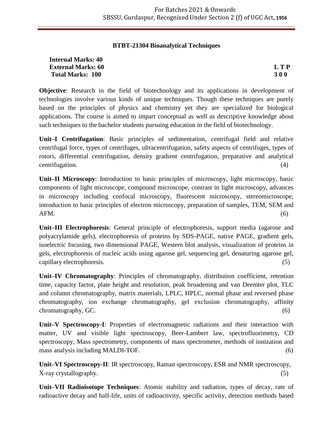#### **BTBT-21304 Bioanalytical Techniques**

| <b>Internal Marks: 40</b> |            |
|---------------------------|------------|
| <b>External Marks: 60</b> | <b>LTP</b> |
| <b>Total Marks: 100</b>   | <b>300</b> |

**Objective**: Research in the field of biotechnology and its applications in development of technologies involve various kinds of unique techniques. Though these techniques are purely based on the principles of physics and chemistry yet they are specialized for biological applications. The course is aimed to impart conceptual as well as descriptive knowledge about such techniques to the bachelor students pursuing education in the field of biotechnology.

**Unit–I Centrifugation**: Basic principles of sedimentation, centrifugal field and relative centrifugal force, types of centrifuges, ultracentrifugation, safety aspects of centrifuges, types of rotors, differential centrifugation, density gradient centrifugation, preparative and analytical  $\text{centrifugation.}$  (4)

**Unit–II Microscopy**: Introduction to basic principles of microscopy, light microscopy, basic components of light microscope, compound microscope, contrast in light microscopy, advances in microscopy including confocal microscopy, fluorescent microscopy, stereomicroscope, introduction to basic principles of electron microscopy, preparation of samples, TEM, SEM and  $AFM.$  (6)

**Unit–III Electrophoresis**: General principle of electrophoresis, support media (agarose and polyacrylamide gels), electrophoresis of proteins by SDS-PAGE, native PAGE, gradient gels, isoelectric focusing, two dimensional PAGE, Western blot analysis, visualization of proteins in gels, electrophoresis of nucleic acids using agarose gel, sequencing gel, denaturing agarose gel, capillary electrophoresis. (5)

**Unit–IV Chromatography**: Principles of chromatography, distribution coefficient, retention time, capacity factor, plate height and resolution, peak broadening and van Deemter plot, TLC and column chromatography, matrix materials, LPLC, HPLC, normal phase and reversed phase chromatography, ion exchange chromatography, gel exclusion chromatography, affinity chromatography, GC. (6)

**Unit–V Spectroscopy-I**: Properties of electromagnetic radiations and their interaction with matter, UV and visible light spectroscopy, Beer-Lambert law, spectrofluorimetry, CD spectroscopy, Mass spectrometry, components of mass spectrometer, methods of ionization and mass analysis including MALDI-TOF. (6)

**Unit–VI Spectroscopy-II**: IR spectroscopy, Raman spectroscopy, ESR and NMR spectroscopy, X-ray crystallography. (5)

**Unit–VII Radioisotope Techniques**: Atomic stability and radiation, types of decay, rate of radioactive decay and half-life, units of radioactivity, specific activity, detection methods based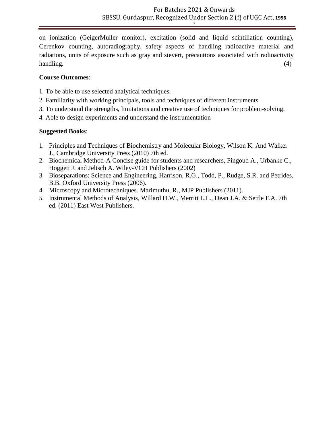**)**

on ionization (GeigerMuller monitor), excitation (solid and liquid scintillation counting), Cerenkov counting, autoradiography, safety aspects of handling radioactive material and radiations, units of exposure such as gray and sievert, precautions associated with radioactivity handling. (4)

# **Course Outcomes**:

- 1. To be able to use selected analytical techniques.
- 2. Familiarity with working principals, tools and techniques of different instruments.
- 3. To understand the strengths, limitations and creative use of techniques for problem-solving.
- 4. Able to design experiments and understand the instrumentation

- 1. Principles and Techniques of Biochemistry and Molecular Biology, Wilson K. And Walker J., Cambridge University Press (2010) 7th ed.
- 2. Biochemical Method-A Concise guide for students and researchers, Pingoud A., Urbanke C., Hoggett J. and Jeltsch A. Wiley-VCH Publishers (2002)
- 3. Bioseparations: Science and Engineering, Harrison, R.G., Todd, P., Rudge, S.R. and Petrides, B.B. Oxford University Press (2006).
- 4. Microscopy and Microtechniques. Marimuthu, R., MJP Publishers (2011).
- 5. Instrumental Methods of Analysis, Willard H.W., Merritt L.L., Dean J.A. & Settle F.A. 7th ed. (2011) East West Publishers.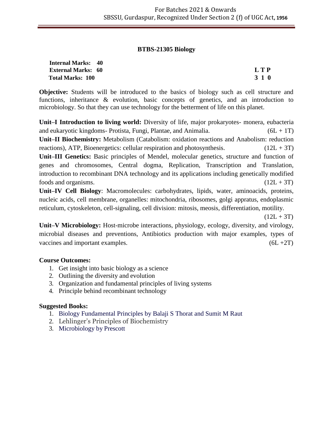#### **BTBS-21305 Biology**

| <b>Internal Marks: 40</b> |       |
|---------------------------|-------|
| <b>External Marks: 60</b> | L T P |
| <b>Total Marks: 100</b>   | 3 1 0 |

**Objective:** Students will be introduced to the basics of biology such as cell structure and functions, inheritance & evolution, basic concepts of genetics, and an introduction to microbiology. So that they can use technology for the betterment of life on this planet.

**Unit–I Introduction to living world:** Diversity of life, major prokaryotes- monera, eubacteria and eukaryotic kingdoms- Protista, Fungi, Plantae, and Animalia.  $(6L + 1T)$ **Unit–II Biochemistry:** Metabolism (Catabolism: oxidation reactions and Anabolism: reduction reactions), ATP, Bioenergetics: cellular respiration and photosynthesis.  $(12L + 3T)$ **Unit–III Genetics:** Basic principles of Mendel, molecular genetics, structure and function of genes and chromosomes, Central dogma, Replication, Transcription and Translation, introduction to recombinant DNA technology and its applications including genetically modified foods and organisms.  $(12L + 3T)$ 

**Unit–IV Cell Biology**: Macromolecules: carbohydrates, lipids, water, aminoacids, proteins, nucleic acids, cell membrane, organelles: mitochondria, ribosomes, golgi appratus, endoplasmic reticulum, cytoskeleton, cell-signaling, cell division: mitosis, meosis, differentiation, motility.

 $(12L + 3T)$ 

**Unit–V Microbiology:** Host-microbe interactions, physiology, ecology, diversity, and virology, microbial diseases and preventions, Antibiotics production with major examples, types of vaccines and important examples.  $(6L + 2T)$ 

#### **Course Outcomes:**

- 1. Get insight into basic biology as a science
- 2. Outlining the diversity and evolution
- 3. Organization and fundamental principles of living systems
- 4. Principle behind recombinant technology

- 1. Biology Fundamental Principles by Balaji S Thorat and Sumit M Raut
- 2. Lehlinger's Principles of Biochemistry
- 3. Microbiology by Prescott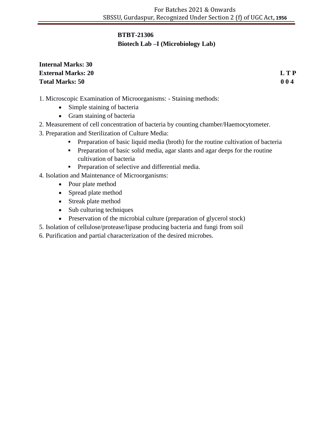# **BTBT-21306**

# **Biotech Lab –I (Microbiology Lab)**

# **Internal Marks: 30 External Marks: 20 L T P Total Marks: 50 0 0 4**

- 1. Microscopic Examination of Microorganisms: Staining methods:
	- Simple staining of bacteria
	- Gram staining of bacteria
- 2. Measurement of cell concentration of bacteria by counting chamber/Haemocytometer.
- 3. Preparation and Sterilization of Culture Media:
	- **Preparation of basic liquid media (broth) for the routine cultivation of bacteria**
	- Preparation of basic solid media, agar slants and agar deeps for the routine cultivation of bacteria
	- **•** Preparation of selective and differential media.
- 4. Isolation and Maintenance of Microorganisms:
	- Pour plate method
	- Spread plate method
	- Streak plate method
	- Sub culturing techniques
	- Preservation of the microbial culture (preparation of glycerol stock)
- 5. Isolation of cellulose/protease/lipase producing bacteria and fungi from soil
- 6. Purification and partial characterization of the desired microbes.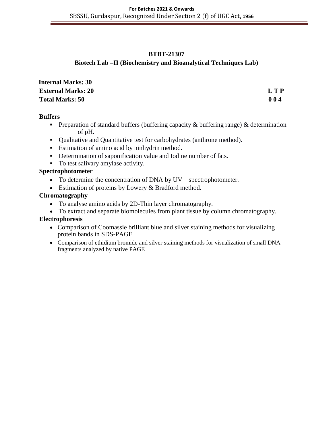#### **BTBT-21307**

# **Biotech Lab –II (Biochemistry and Bioanalytical Techniques Lab)**

| <b>Internal Marks: 30</b> |       |
|---------------------------|-------|
| <b>External Marks: 20</b> | L T P |
| <b>Total Marks: 50</b>    | 004   |

#### **Buffers**

- **Preparation of standard buffers (buffering capacity**  $\&$  **buffering range)**  $\&$  **determination** of pH.
- Qualitative and Quantitative test for carbohydrates (anthrone method).
- **Estimation of amino acid by ninhydrin method.**
- Determination of saponification value and Iodine number of fats.
- To test salivary amylase activity.

# **Spectrophotometer**

- To determine the concentration of DNA by UV spectrophotometer.
- Estimation of proteins by Lowery & Bradford method.

# **Chromatography**

- To analyse amino acids by 2D-Thin layer chromatography.
- To extract and separate biomolecules from plant tissue by column chromatography.

#### **Electrophoresis**

- Comparison of Coomassie brilliant blue and silver staining methods for visualizing protein bands in SDS-PAGE
- Comparison of ethidium bromide and silver staining methods for visualization of small DNA fragments analyzed by native PAGE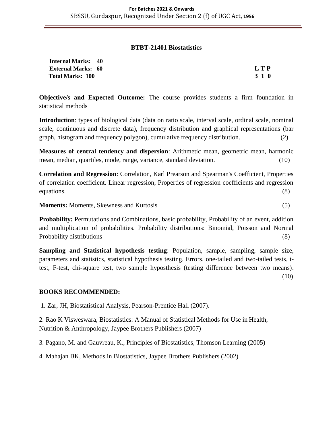#### **BTBT-21401 Biostatistics**

| <b>Internal Marks: 40</b> |            |
|---------------------------|------------|
| <b>External Marks: 60</b> | <b>LTP</b> |
| <b>Total Marks: 100</b>   | 3 1 0      |

**Objective/s and Expected Outcome:** The course provides students a firm foundation in statistical methods

**Introduction**: types of biological data (data on ratio scale, interval scale, ordinal scale, nominal scale, continuous and discrete data), frequency distribution and graphical representations (bar graph, histogram and frequency polygon), cumulative frequency distribution. (2)

**Measures of central tendency and dispersion**: Arithmetic mean, geometric mean, harmonic mean, median, quartiles, mode, range, variance, standard deviation. (10)

**Correlation and Regression**: Correlation, Karl Prearson and Spearman's Coefficient, Properties of correlation coefficient. Linear regression, Properties of regression coefficients and regression equations. (8)

**Moments:** Moments, Skewness and Kurtosis (5)

**Probability:** Permutations and Combinations, basic probability, Probability of an event, addition and multiplication of probabilities. Probability distributions: Binomial, Poisson and Normal Probability distributions (8)

**Sampling and Statistical hypothesis testing**: Population, sample, sampling, sample size, parameters and statistics, statistical hypothesis testing. Errors, one-tailed and two-tailed tests, ttest, F-test, chi-square test, two sample hyposthesis (testing difference between two means). (10)

#### **BOOKS RECOMMENDED:**

1. Zar, JH, Biostatistical Analysis, Pearson-Prentice Hall (2007).

2. Rao K Visweswara, Biostatistics: A Manual of Statistical Methods for Use in Health, Nutrition & Anthropology, Jaypee Brothers Publishers (2007)

3. Pagano, M. and Gauvreau, K., Principles of Biostatistics, Thomson Learning (2005)

4. Mahajan BK, Methods in Biostatistics, Jaypee Brothers Publishers (2002)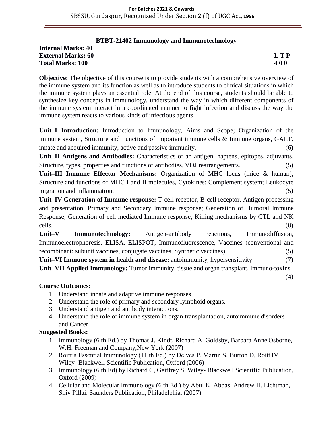#### **BTBT-21402 Immunology and Immunotechnology**

**Internal Marks: 40 External Marks: 60 L T P Total Marks: 100 4 0 0**

(4)

**Objective:** The objective of this course is to provide students with a comprehensive overview of the immune system and its function as well as to introduce students to clinical situations in which the immune system plays an essential role. At the end of this course, students should be able to synthesize key concepts in immunology, understand the way in which different components of the immune system interact in a coordinated manner to fight infection and discuss the way the immune system reacts to various kinds of infectious agents.

**Unit–I Introduction:** Introduction to Immunology, Aims and Scope; Organization of the immune system, Structure and Functions of important immune cells & Immune organs, GALT, innate and acquired immunity, active and passive immunity. (6)

**Unit–II Antigens and Antibodies:** Characteristics of an antigen, haptens, epitopes, adjuvants. Structure, types, properties and functions of antibodies, VDJ rearrangements. (5)

**Unit–III Immune Effector Mechanisms:** Organization of MHC locus (mice & human); Structure and functions of MHC I and II molecules, Cytokines; Complement system; Leukocyte migration and inflammation. (5) (5)

**Unit–IV Generation of Immune response:** T-cell receptor, B-cell receptor, Antigen processing and presentation. Primary and Secondary Immune response; Generation of Humoral Immune Response; Generation of cell mediated Immune response; Killing mechanisms by CTL and NK cells. (8)

**Unit–V Immunotechnology:** Antigen-antibody reactions, Immunodiffusion, Immunoelectrophoresis, ELISA, ELISPOT, Immunofluorescence, Vaccines (conventional and recombinant: subunit vaccines, conjugate vaccines, Synthetic vaccines). (5)

**Unit–VI Immune system in health and disease:** autoimmunity, hypersensitivity (7) **Unit–VII Applied Immunology:** Tumor immunity, tissue and organ transplant, Immuno-toxins.

**Course Outcomes:**

- 1. Understand innate and adaptive immune responses.
- 2. Understand the role of primary and secondary lymphoid organs.
- 3. Understand antigen and antibody interactions.
- 4. Understand the role of immune system in organ transplantation, autoimmune disorders and Cancer.

- 1. Immunology (6 th Ed.) by Thomas J. Kindt, Richard A. Goldsby, Barbara Anne Osborne, W.H. Freeman and Company,New York (2007)
- 2. Roitt's Essential Immunology (11 th Ed.) by Delves P, Martin S, Burton D, Roitt IM. Wiley- Blackwell Scientific Publication, Oxford (2006)
- 3. Immunology (6 th Ed) by Richard C, Geiffrey S. Wiley- Blackwell Scientific Publication, Oxford (2009)
- 4. Cellular and Molecular Immunology (6 th Ed.) by Abul K. Abbas, Andrew H. Lichtman, Shiv Pillai. Saunders Publication, Philadelphia, (2007)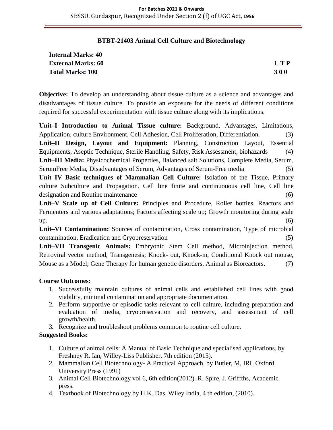#### **BTBT-21403 Animal Cell Culture and Biotechnology**

| <b>Internal Marks: 40</b> |            |
|---------------------------|------------|
| <b>External Marks: 60</b> | L T P      |
| <b>Total Marks: 100</b>   | <b>300</b> |

**Objective:** To develop an understanding about tissue culture as a science and advantages and disadvantages of tissue culture. To provide an exposure for the needs of different conditions required for successful experimentation with tissue culture along with its implications.

**Unit–I Introduction to Animal Tissue culture:** Background, Advantages, Limitations, Application, culture Environment, Cell Adhesion, Cell Proliferation, Differentiation. (3) **Unit–II Design, Layout and Equipment:** Planning, Construction Layout, Essential Equipments, Aseptic Technique, Sterile Handling, Safety, Risk Assessment, biohazards (4) **Unit–III Media:** Physicochemical Properties, Balanced salt Solutions, Complete Media, Serum, SerumFree Media, Disadvantages of Serum, Advantages of Serum-Free media (5) **Unit–IV Basic techniques of Mammalian Cell Culture:** Isolation of the Tissue, Primary culture Subculture and Propagation. Cell line finite and continuouous cell line, Cell line designation and Routine maintenance (6)

**Unit–V Scale up of Cell Culture:** Principles and Procedure, Roller bottles, Reactors and Fermenters and various adaptations; Factors affecting scale up; Growth monitoring during scale  $up.$  (6)

**Unit–VI Contamination:** Sources of contamination, Cross contamination, Type of microbial contamination, Eradication and Cryopreservation (5)

**Unit–VII Transgenic Animals:** Embryonic Stem Cell method, Microinjection method, Retroviral vector method, Transgenesis; Knock- out, Knock-in, Conditional Knock out mouse, Mouse as a Model; Gene Therapy for human genetic disorders, Animal as Bioreactors. (7)

#### **Course Outcomes:**

- 1. Successfully maintain cultures of animal cells and established cell lines with good viability, minimal contamination and appropriate documentation.
- 2. Perform supportive or episodic tasks relevant to cell culture, including preparation and evaluation of media, cryopreservation and recovery, and assessment of cell growth/health.
- 3. Recognize and troubleshoot problems common to routine cell culture.

- 1. Culture of animal cells: A Manual of Basic Technique and specialised applications, by Freshney R. Ian, Willey-Liss Publisher, 7th edition (2015).
- 2. Mammalian Cell Biotechnology- A Practical Approach, by Butler, M, IRL Oxford University Press (1991)
- 3. Animal Cell Biotechnology vol 6, 6th edition(2012). R. Spire, J. Griffths, Academic press.
- 4. Textbook of Biotechnology by H.K. Das, Wiley India, 4 th edition, (2010).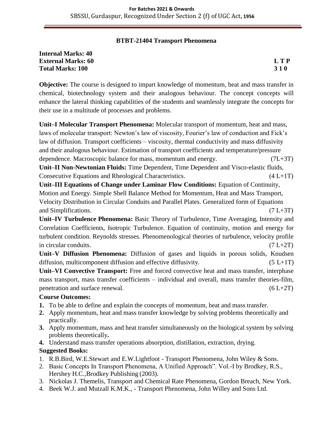#### **BTBT-21404 Transport Phenomena**

| <b>Internal Marks: 40</b> |            |
|---------------------------|------------|
| <b>External Marks: 60</b> | LTP        |
| <b>Total Marks: 100</b>   | <b>310</b> |

**Objective:** The course is designed to impart knowledge of momentum, heat and mass transfer in chemical, biotechnology system and their analogous behaviour. The concept concepts will enhance the lateral thinking capabilities of the students and seamlessly integrate the concepts for their use in a multitude of processes and problems.

**Unit–I Molecular Transport Phenomena:** Molecular transport of momentum, heat and mass, laws of molecular transport: Newton's law of viscosity, Fourier's law of conduction and Fick's law of diffusion. Transport coefficients – viscosity, thermal conductivity and mass diffusivity and their analogous behaviour. Estimation of transport coefficients and temperature/pressure dependence. Macroscopic balance for mass, momentum and energy. (7L+3T) **Unit–II Non-Newtonian Fluids:** Time Dependent, Time Dependent and Visco-elastic fluids, Consecutive Equations and Rheological Characteristics. (4 L+1T) **Unit–III Equations of Change under Laminar Flow Conditions:** Equation of Continuity, Motion and Energy. Simple Shell Balance Method for Momentum, Heat and Mass Transport, Velocity Distribution in Circular Conduits and Parallel Plates. Generalized form of Equations and Simplifications. (7 L+3T)

**Unit–IV Turbulence Phenomena:** Basic Theory of Turbulence, Time Averaging, Intensity and Correlation Coefficients, Isotropic Turbulence. Equation of continuity, motion and energy for turbulent condition. Reynolds stresses. Phenomenological theories of turbulence, velocity profile in circular conduits.  $(7 L+2T)$ 

**Unit–V Diffusion Phenomena:** Diffusion of gases and liquids in porous solids, Knudsen diffusion, multicomponent diffusion and effective diffusivity.  $(5 L+1T)$ 

**Unit–VI Convective Transport:** Free and forced convective heat and mass transfer, interphase mass transport, mass transfer coefficients – individual and overall, mass transfer theories-film, penetration and surface renewal.  $(6 L+2T)$ 

#### **Course Outcomes:**

- **1.** To be able to define and explain the concepts of momentum, heat and mass transfer.
- **2.** Apply momentum, heat and mass transfer knowledge by solving problems theoretically and practically.
- **3.** Apply momentum, mass and heat transfer simultaneously on the biological system by solving problems theoretically**.**
- **4.** Understand mass transfer operations absorption, distillation, extraction, drying.

- 1. R.B.Bird, W.E.Stewart and E.W.Lightfoot Transport Phenomena, John Wiley & Sons.
- 2. Basic Concepts In Transport Phenomena, A Unified Approach". Vol.-I by Brodkey, R.S., Hershey H.C.,Brodkey Publishing (2003).
- 3. Nickolas J. Themelis, Transport and Chemical Rate Phenomena, Gordon Breach, New York.
- 4. Beek W.J. and Mutzall K.M.K., Transport Phenomena, John Willey and Sons Ltd.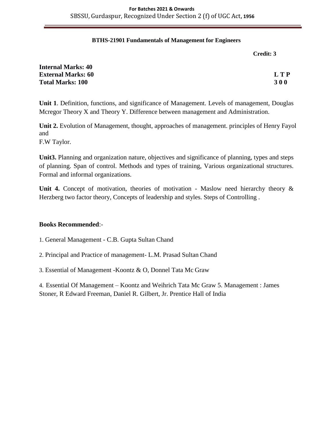#### **BTHS-21901 Fundamentals of Management for Engineers**

| Credit: 3 |  |
|-----------|--|
|-----------|--|

| <b>Internal Marks: 40</b> |            |
|---------------------------|------------|
| <b>External Marks: 60</b> | L T P      |
| <b>Total Marks: 100</b>   | <b>300</b> |

**Unit 1**. Definition, functions, and significance of Management. Levels of management, Douglas Mcregor Theory X and Theory Y. Difference between management and Administration.

**Unit 2.** Evolution of Management, thought, approaches of management. principles of Henry Fayol and

F.W Taylor.

**Unit3.** Planning and organization nature, objectives and significance of planning, types and steps of planning. Span of control. Methods and types of training, Various organizational structures. Formal and informal organizations.

Unit 4. Concept of motivation, theories of motivation - Maslow need hierarchy theory & Herzberg two factor theory, Concepts of leadership and styles. Steps of Controlling .

#### **Books Recommended**:-

- 1. General Management C.B. Gupta Sultan Chand
- 2. Principal and Practice of management- L.M. Prasad Sultan Chand
- 3. Essential of Management -Koontz & O, Donnel Tata Mc Graw

4. Essential Of Management – Koontz and Weihrich Tata Mc Graw 5. Management : James Stoner, R Edward Freeman, Daniel R. Gilbert, Jr. Prentice Hall of India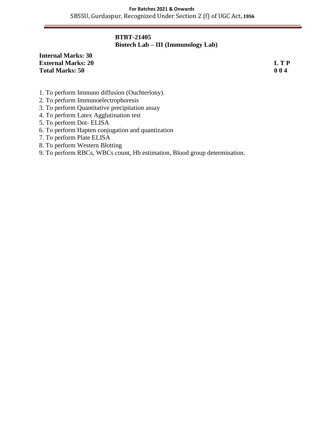#### **BTBT-21405 Biotech Lab – III (Immunology Lab)**

#### **Internal Marks: 30 External Marks: 20 L T P Total Marks: 50 0 0 4**

- 1. To perform Immuno diffusion (Ouchterlony).
- 2. To perform Immunoelectrophoresis
- 3. To perform Quantitative precipitation assay
- 4. To perform Latex Agglutination test
- 5. To perform Dot- ELISA
- 6. To perform Hapten conjugation and quantization
- 7. To perform Plate ELISA
- 8. To perform Western Blotting
- 9. To perform RBCs, WBCs count, Hb estimation, Blood group determination.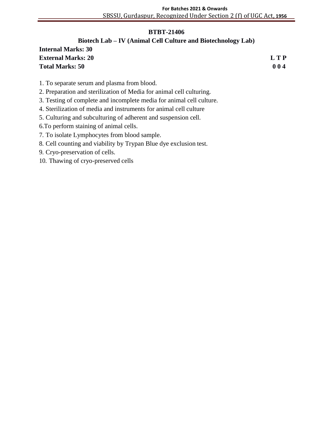#### **) BTBT-21406**

# **Biotech Lab – IV (Animal Cell Culture and Biotechnology Lab)**

| <b>Internal Marks: 30</b> |            |
|---------------------------|------------|
| <b>External Marks: 20</b> | <b>LTP</b> |
| <b>Total Marks: 50</b>    | 004        |

- 1. To separate serum and plasma from blood.
- 2. Preparation and sterilization of Media for animal cell culturing.
- 3. Testing of complete and incomplete media for animal cell culture.
- 4. Sterilization of media and instruments for animal cell culture
- 5. Culturing and subculturing of adherent and suspension cell.
- 6.To perform staining of animal cells.
- 7. To isolate Lymphocytes from blood sample.
- 8. Cell counting and viability by Trypan Blue dye exclusion test.
- 9. Cryo-preservation of cells.
- 10. Thawing of cryo-preserved cells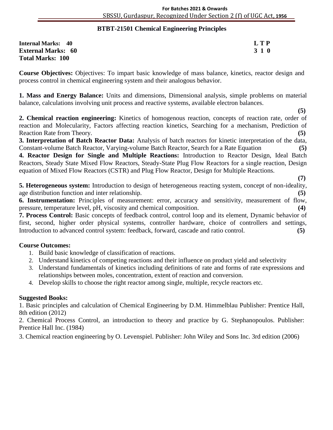#### **BTBT-21501 Chemical Engineering Principles )**

| <b>Internal Marks: 40</b> | L T P |
|---------------------------|-------|
| <b>External Marks: 60</b> | 3 1 0 |
| <b>Total Marks: 100</b>   |       |

**Course Objectives:** Objectives: To impart basic knowledge of mass balance, kinetics, reactor design and process control in chemical engineering system and their analogous behavior.

**1. Mass and Energy Balance:** Units and dimensions, Dimensional analysis, simple problems on material balance, calculations involving unit process and reactive systems, available electron balances.

 **(5) 2. Chemical reaction engineering:** Kinetics of homogenous reaction, concepts of reaction rate, order of reaction and Molecularity, Factors affecting reaction kinetics, Searching for a mechanism, Prediction of Reaction Rate from Theory. **(5)**

**3. Interpretation of Batch Reactor Data:** Analysis of batch reactors for kinetic interpretation of the data, Constant-volume Batch Reactor, Varying-volume Batch Reactor, Search for a Rate Equation **(5)**

**4. Reactor Design for Single and Multiple Reactions:** Introduction to Reactor Design, Ideal Batch Reactors, Steady State Mixed Flow Reactors, Steady-State Plug Flow Reactors for a single reaction, Design equation of Mixed Flow Reactors (CSTR) and Plug Flow Reactor, Design for Multiple Reactions.

 **(7) 5. Heterogeneous system:** Introduction to design of heterogeneous reacting system, concept of non-ideality, age distribution function and inter relationship. **(5)**

**6. Instrumentation:** Principles of measurement: error, accuracy and sensitivity, measurement of flow, pressure, temperature level, pH, viscosity and chemical composition. **(4)**

**7. Process Control:** Basic concepts of feedback control, control loop and its element, Dynamic behavior of first, second, higher order physical systems, controller hardware, choice of controllers and settings, Introduction to advanced control system: feedback, forward, cascade and ratio control. **(5)**

#### **Course Outcomes:**

- 1. Build basic knowledge of classification of reactions.
- 2. Understand kinetics of competing reactions and their influence on product yield and selectivity
- 3. Understand fundamentals of kinetics including definitions of rate and forms of rate expressions and relationships between moles, concentration, extent of reaction and conversion.
- 4. Develop skills to choose the right reactor among single, multiple, recycle reactors etc.

#### **Suggested Books:**

1. Basic principles and calculation of Chemical Engineering by D.M. Himmelblau Publisher: Prentice Hall, 8th edition (2012)

2. Chemical Process Control, an introduction to theory and practice by G. Stephanopoulos. Publisher: Prentice Hall Inc. (1984)

3. Chemical reaction engineering by O. Levenspiel. Publisher: John Wiley and Sons Inc. 3rd edition (2006)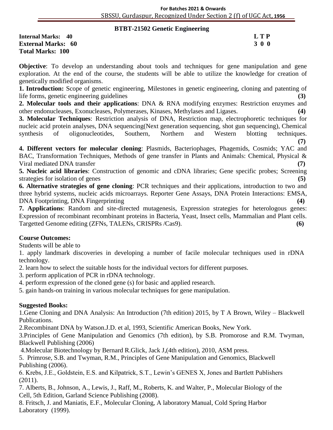#### **BTBT-21502 Genetic Engineering )**

**Internal Marks: 40 L T P External Marks: 60 3 0 0** 3 0 0 3 0 0 3 0 0 3 0 0 3 0 0 3 0 0 3 0 0 3 0 0 3 0 0 3 0 0 3 0 4  $\sigma$ **Total Marks: 100** 

**Objective**: To develop an understanding about tools and techniques for gene manipulation and gene exploration. At the end of the course, the students will be able to utilize the knowledge for creation of genetically modified organisms.

**1. Introduction:** Scope of genetic engineering, Milestones in genetic engineering, cloning and patenting of life forms, genetic engineering guidelines **(3)**

**2. Molecular tools and their applications**: DNA & RNA modifying enzymes: Restriction enzymes and other endonucleases, Exonucleases, Polymerases, Kinases, Methylases and Ligases. **(4)**

**3. Molecular Techniques**: Restriction analysis of DNA, Restriction map, electrophoretic techniques for nucleic acid protein analyses, DNA sequencing(Next generation sequencing, shot gun sequencing), Chemical synthesis of oligonucleotides, Southern, Northern and Western blotting techniques.

**(7)**

**4. Different vectors for molecular cloning**: Plasmids, Bacteriophages, Phagemids, Cosmids; YAC and BAC, Transformation Techniques, Methods of gene transfer in Plants and Animals: Chemical, Physical & Viral mediated DNA transfer **(7)**

**5. Nucleic acid libraries**: Construction of genomic and cDNA libraries; Gene specific probes; Screening strategies for isolation of genes **(5)** (5)

**6. Alternative strategies of gene cloning**: PCR techniques and their applications, introduction to two and three hybrid systems, nucleic acids microarrays. Reporter Gene Assays, DNA Protein Interactions: EMSA, DNA Footprinting, DNA Fingerprinting **(4)**

**7. Applications**: Random and site-directed mutagenesis, Expression strategies for heterologous genes: Expression of recombinant recombinant proteins in Bacteria, Yeast, Insect cells, Mammalian and Plant cells. Targetted Genome editing (ZFNs, TALENs, CRISPRs /Cas9). **(6)**

#### **Course Outcomes:**

Students will be able to

1. apply landmark discoveries in developing a number of facile molecular techniques used in rDNA technology.

2. learn how to select the suitable hosts for the individual vectors for different purposes.

3. perform application of PCR in rDNA technology.

4. perform expression of the cloned gene (s) for basic and applied research.

5. gain hands-on training in various molecular techniques for gene manipulation.

#### **Suggested Books:**

1.Gene Cloning and DNA Analysis: An Introduction (7th edition) 2015, by T A Brown, Wiley – Blackwell Publications.

2.Recombinant DNA by Watson.J.D. et al, 1993, Scientific American Books, New York.

3.Principles of Gene Manipulation and Genomics (7th edition), by S.B. Promorose and R.M. Twyman, Blackwell Publishing (2006)

4.Molecular Biotechnology by Bernard R.Glick, Jack J,(4th edition), 2010, ASM press.

5. Primrose, S.B. and Twyman, R.M., Principles of Gene Manipulation and Genomics, Blackwell Publishing (2006).

6. Krebs, J.E., Goldstein, E.S. and Kilpatrick, S.T., Lewin's GENES X, Jones and Bartlett Publishers (2011).

7. Alberts, B., Johnson, A., Lewis, J., Raff, M., Roberts, K. and Walter, P., Molecular Biology of the Cell, 5th Edition, Garland Science Publishing (2008).

8. Fritsch, J. and Maniatis, E.F., Molecular Cloning, A laboratory Manual, Cold Spring Harbor Laboratory (1999).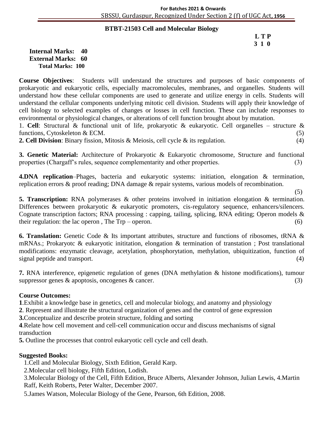#### **BTBT-21503 Cell and Molecular Biology )**

#### **L T P 3 1 0**

**Internal Marks: 40 External Marks: 60 Total Marks: 100** 

**Course Objectives**: Students will understand the structures and purposes of basic components of prokaryotic and eukaryotic cells, especially macromolecules, membranes, and organelles. Students will understand how these cellular components are used to generate and utilize energy in cells. Students will understand the cellular components underlying mitotic cell division. Students will apply their knowledge of cell biology to selected examples of changes or losses in cell function. These can include responses to environmental or physiological changes, or alterations of cell function brought about by mutation.

1. **Cell**: Structural & functional unit of life, prokaryotic & eukaryotic. Cell organelles – structure & functions, Cytoskeleton  $& ECM.$  (5)

**2. Cell Division**: Binary fission, Mitosis & Meiosis, cell cycle & its regulation. (4)

**3. Genetic Material:** Architecture of Prokaryotic & Eukaryotic chromosome, Structure and functional properties (Chargaff's rules, sequence complementarity and other properties. (3)

**4.DNA replication**–Phages, bacteria and eukaryotic systems: initiation, elongation & termination, replication errors & proof reading; DNA damage & repair systems, various models of recombination.

(5)

**5. Transcription:** RNA polymerases & other proteins involved in initiation elongation & termination. Differences between prokaryotic & eukaryotic promoters, cis-regulatory sequence, enhancers/silencers. Cognate transcription factors; RNA processing : capping, tailing, splicing, RNA editing; Operon models & their regulation: the lac operon, The  $Trp - open$ .  $(6)$ 

**6. Translation:** Genetic Code & Its important attributes, structure and functions of ribosomes, tRNA & mRNAs.; Prokaryotc & eukaryotic inititation, elongation & termination of transtation ; Post translational modifications: enzymatic cleavage, acetylation, phosphorytation, methylation, ubiquitization, function of signal peptide and transport. (4)

**7.** RNA interference, epigenetic regulation of genes (DNA methylation & histone modifications), tumour suppressor genes  $\&$  apoptosis, oncogenes  $\&$  cancer. (3)

#### **Course Outcomes:**

**1**.Exhibit a knowledge base in genetics, cell and molecular biology, and anatomy and physiology

**2**. Represent and illustrate the structural organization of genes and the control of gene expression

**3.**Conceptualize and describe protein structure, folding and sorting

**4**.Relate how cell movement and cell-cell communication occur and discuss mechanisms of signal transduction

**5.** Outline the processes that control eukaryotic cell cycle and cell death.

#### **Suggested Books:**

1.Cell and Molecular Biology, Sixth Edition, Gerald Karp.

2.Molecular cell biology, Fifth Edition, Lodish.

3.Molecular Biology of the Cell, Fifth Edition, Bruce Alberts, Alexander Johnson, Julian Lewis, 4.Martin Raff, Keith Roberts, Peter Walter, December 2007.

5.James Watson, Molecular Biology of the Gene, Pearson, 6th Edition, 2008.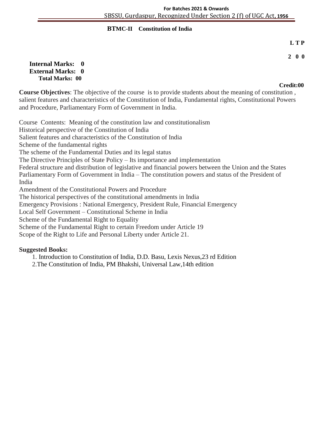#### **BTMC-II Constitution of India )**

#### **L T P**

#### **2 0 0**

#### **Internal Marks: 0 External Marks: 0 Total Marks: 00**

# **Credit:00**

**Course Objectives**: The objective of the course is to provide students about the meaning of constitution , salient features and characteristics of the Constitution of India, Fundamental rights, Constitutional Powers and Procedure, Parliamentary Form of Government in India.

Course Contents: Meaning of the constitution law and constitutionalism Historical perspective of the Constitution of India Salient features and characteristics of the Constitution of India Scheme of the fundamental rights The scheme of the Fundamental Duties and its legal status The Directive Principles of State Policy – Its importance and implementation Federal structure and distribution of legislative and financial powers between the Union and the States Parliamentary Form of Government in India – The constitution powers and status of the President of India Amendment of the Constitutional Powers and Procedure The historical perspectives of the constitutional amendments in India Emergency Provisions : National Emergency, President Rule, Financial Emergency Local Self Government – Constitutional Scheme in India Scheme of the Fundamental Right to Equality Scheme of the Fundamental Right to certain Freedom under Article 19 Scope of the Right to Life and Personal Liberty under Article 21.

#### **Suggested Books:**

1. Introduction to Constitution of India, D.D. Basu, Lexis Nexus,23 rd Edition

2.The Constitution of India, PM Bhakshi, Universal Law,14th edition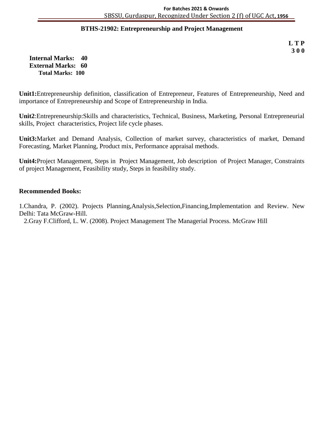#### **BTHS-21902: Entrepreneurship and Project Management )**

**L T P 3 0 0**

**Internal Marks: 40 External Marks: 60 Total Marks: 100** 

**Unit1:**Entrepreneurship definition, classification of Entrepreneur, Features of Entrepreneurship, Need and importance of Entrepreneurship and Scope of Entrepreneurship in India.

**Unit2**:Entrepreneurship:Skills and characteristics, Technical, Business, Marketing, Personal Entrepreneurial skills, Project characteristics, Project life cycle phases.

**Unit3:**Market and Demand Analysis, Collection of market survey, characteristics of market, Demand Forecasting, Market Planning, Product mix, Performance appraisal methods.

**Unit4:**Project Management, Steps in Project Management, Job description of Project Manager, Constraints of project Management, Feasibility study, Steps in feasibility study.

#### **Recommended Books:**

1.Chandra, P. (2002). Projects Planning,Analysis,Selection,Financing,Implementation and Review. New Delhi: Tata McGraw-Hill.

2.Gray F.Clifford, L. W. (2008). Project Management The Managerial Process*.* McGraw Hill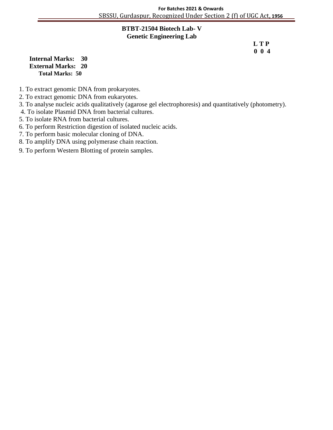#### **BTBT-21504 Biotech Lab) - V Genetic Engineering Lab**

 **L T P 0 0 4**

**Internal Marks: 30 External Marks: 20 Total Marks: 50** 

- 1. To extract genomic DNA from prokaryotes.
- 2. To extract genomic DNA from eukaryotes.
- 3. To analyse nucleic acids qualitatively (agarose gel electrophoresis) and quantitatively (photometry).
- 4. To isolate Plasmid DNA from bacterial cultures.
- 5. To isolate RNA from bacterial cultures.
- 6. To perform Restriction digestion of isolated nucleic acids.
- 7. To perform basic molecular cloning of DNA.
- 8. To amplify DNA using polymerase chain reaction.
- 9. To perform Western Blotting of protein samples.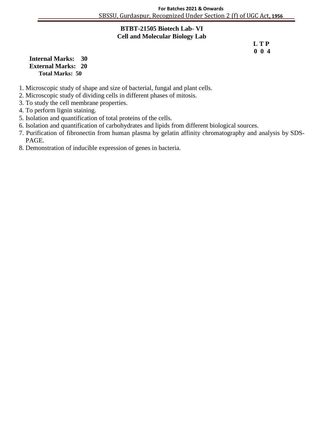#### **BTBT-21505 Biotech Lab)- VI Cell and Molecular Biology Lab**

 **L T P 0 0 4**

**Internal Marks: 30 External Marks: 20 Total Marks: 50** 

- 1. Microscopic study of shape and size of bacterial, fungal and plant cells.
- 2. Microscopic study of dividing cells in different phases of mitosis.
- 3. To study the cell membrane properties.
- 4. To perform lignin staining.
- 5. Isolation and quantification of total proteins of the cells.
- 6. Isolation and quantification of carbohydrates and lipids from different biological sources.
- 7. Purification of fibronectin from human plasma by gelatin affinity chromatography and analysis by SDS- PAGE.
- 8. Demonstration of inducible expression of genes in bacteria.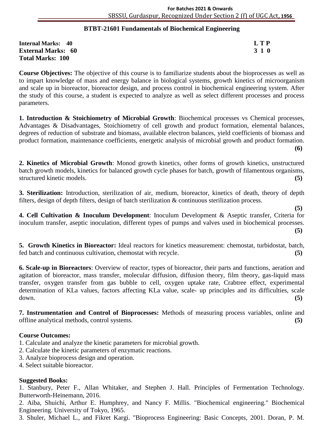#### **BTBT-21601 Fundamentals of Biochemical Engineering )**

| <b>Internal Marks: 40</b> | <b>LTP</b> |
|---------------------------|------------|
| <b>External Marks: 60</b> | 3 1 0      |
| <b>Total Marks: 100</b>   |            |

**Course Objectives:** The objective of this course is to familiarize students about the bioprocesses as well as to impart knowledge of mass and energy balance in biological systems, growth kinetics of microorganism and scale up in bioreactor, bioreactor design, and process control in biochemical engineering system. After the study of this course, a student is expected to analyze as well as select different processes and process parameters.

1. Introduction & Stoichiometry of Microbial Growth: Biochemical processes vs Chemical processes, Advantages & Disadvantages, Stoichiometry of cell growth and product formation, elemental balances, degrees of reduction of substrate and biomass, available electron balances, yield coefficients of biomass and product formation, maintenance coefficients, energetic analysis of microbial growth and product formation. **(6)**

**2. Kinetics of Microbial Growth**: Monod growth kinetics, other forms of growth kinetics, unstructured batch growth models, kinetics for balanced growth cycle phases for batch, growth of filamentous organisms, structured kinetic models. **(5)**

**3. Sterilization:** Introduction, sterilization of air, medium, bioreactor, kinetics of death, theory of depth filters, design of depth filters, design of batch sterilization & continuous sterilization process.

**(5)**

**4. Cell Cultivation & Inoculum Development**: Inoculum Development & Aseptic transfer, Criteria for inoculum transfer, aseptic inoculation, different types of pumps and valves used in biochemical processes. **(5)**

**5. Growth Kinetics in Bioreactor:** Ideal reactors for kinetics measurement: chemostat, turbidostat, batch, fed batch and continuous cultivation, chemostat with recycle. **(5)**

**6. Scale-up in Bioreactors**: Overview of reactor, types of bioreactor, their parts and functions, aeration and agitation of bioreactor, mass transfer, molecular diffusion, diffusion theory, film theory, gas-liquid mass transfer, oxygen transfer from gas bubble to cell, oxygen uptake rate, Crabtree effect, experimental determination of KLa values, factors affecting KLa value, scale- up principles and its difficulties, scale down. **(5)**

**7. Instrumentation and Control of Bioprocesses:** Methods of measuring process variables, online and offline analytical methods, control systems. **(5)**

#### **Course Outcomes:**

1. Calculate and analyze the kinetic parameters for microbial growth.

- 2. Calculate the kinetic parameters of enzymatic reactions.
- 3. Analyze bioprocess design and operation.
- 4. Select suitable bioreactor.

#### **Suggested Books:**

1. Stanbury, Peter F., Allan Whitaker, and Stephen J. Hall. Principles of Fermentation Technology. Butterworth-Heinemann, 2016.

2. Aiba, Shuichi, Arthur E. Humphrey, and Nancy F. Millis. "Biochemical engineering." Biochemical Engineering. University of Tokyo, 1965.

3. Shuler, Michael L., and Fikret Kargi. "Bioprocess Engineering: Basic Concepts, 2001. Doran, P. M.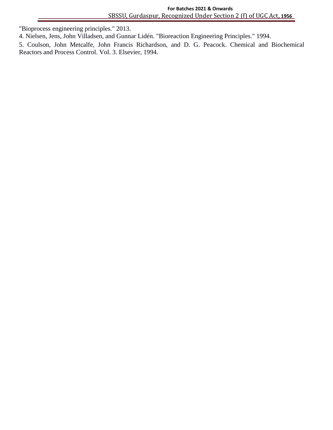"Bioprocess engineering principles." 2013. **)**

4. Nielsen, Jens, John Villadsen, and Gunnar Lidén. "Bioreaction Engineering Principles." 1994.

5. Coulson, John Metcalfe, John Francis Richardson, and D. G. Peacock. Chemical and Biochemical Reactors and Process Control. Vol. 3. Elsevier, 1994.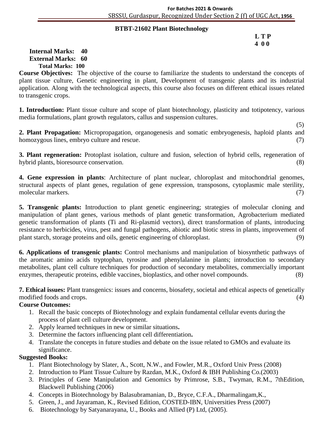#### **BTBT-21602 Plant Biotechnology )**

#### **L T P 4 0 0**

#### **Internal Marks: 40 External Marks: 60 Total Marks: 100**

**Course Objectives:** The objective of the course to familiarize the students to understand the concepts of plant tissue culture, Genetic engineering in plant, Development of transgenic plants and its industrial application. Along with the technological aspects, this course also focuses on different ethical issues related to transgenic crops.

**1. Introduction:** Plant tissue culture and scope of plant biotechnology, plasticity and totipotency, various media formulations, plant growth regulators, callus and suspension cultures.

 (5) **2. Plant Propagation:** Micropropagation, organogenesis and somatic embryogenesis, haploid plants and homozygous lines, embryo culture and rescue. (7) (7)

**3. Plant regeneration:** Protoplast isolation, culture and fusion, selection of hybrid cells, regeneration of hybrid plants, bioresource conservation. (8)

**4. Gene expression in plants**: Architecture of plant nuclear, chloroplast and mitochondrial genomes, structural aspects of plant genes, regulation of gene expression, transposons, cytoplasmic male sterility, molecular markers. (7)

**5. Transgenic plants:** Introduction to plant genetic engineering; strategies of molecular cloning and manipulation of plant genes, various methods of plant genetic transformation, Agrobacterium mediated genetic transformation of plants (Ti and Ri-plasmid vectors), direct transformation of plants, introducing resistance to herbicides, virus, pest and fungal pathogens, abiotic and biotic stress in plants, improvement of plant starch, storage proteins and oils, genetic engineering of chloroplast. (9)

**6. Applications of transgenic plants:** Control mechanisms and manipulation of biosynthetic pathways of the aromatic amino acids tryptophan, tyrosine and phenylalanine in plants; introduction to secondary metabolites, plant cell culture techniques for production of secondary metabolites, commercially important enzymes, therapeutic proteins, edible vaccines, bioplastics, and other novel compounds. (8)

**7. Ethical issues:** Plant transgenics: issues and concerns, biosafety, societal and ethical aspects of genetically modified foods and crops. (4) (3) and crops (4) and contact the contact of the contact of the contact of the contact of the contact of the contact of the contact of the contact of the contact of the contact of the contact

#### **Course Outcomes:**

- 1. Recall the basic concepts of Biotechnology and explain fundamental cellular events during the process of plant cell culture development.
- 2. Apply learned techniques in new or similar situations**.**
- 3. Determine the factors influencing plant cell differentiation**.**
- 4. Translate the concepts in future studies and debate on the issue related to GMOs and evaluate its significance.

- 1. Plant Biotechnology by Slater, A., Scott, N.W., and Fowler, M.R., Oxford Univ Press (2008)
- 2. Introduction to Plant Tissue Culture by Razdan, M.K., Oxford & IBH Publishing Co.(2003)
- 3. Principles of Gene Manipulation and Genomics by Primrose, S.B., Twyman, R.M., 7thEdition, Blackwell Publishing (2006)
- 4. Concepts in Biotechnology by Balasubramanian, D., Bryce, C.F.A., Dharmalingam,K.,
- 5. Green, J., and Jayaraman, K., Revised Edition, COSTED-IBN, Universities Press (2007)
- 6. Biotechnology by Satyanarayana, U., Books and Allied (P) Ltd, (2005).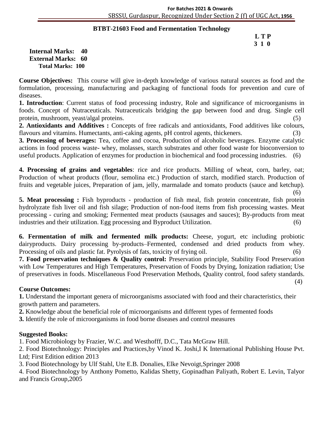#### **BTBT-21603 Food and Fermentation Technology )**

#### **L T P 3 1 0**

**Internal Marks: 40 External Marks: 60 Total Marks: 100** 

**Course Objectives:** This course will give in-depth knowledge of various natural sources as food and the formulation, processing, manufacturing and packaging of functional foods for prevention and cure of diseases.

**1. Introduction**: Current status of food processing industry, Role and significance of microorganisms in foods. Concept of Nutraceuticals. Nutraceuticals bridging the gap between food and drug. Single cell protein, mushroom, yeast/algal proteins. (5)

**2. Antioxidants and Additives :** Concepts of free radicals and antioxidants, Food additives like colours, flavours and vitamins. Humectants, anti-caking agents, pH control agents, thickeners.

**3. Processing of beverages:** Tea, coffee and cocoa, Production of alcoholic beverages. Enzyme catalytic actions in food process waste- whey, molasses, starch substrates and other food waste for bioconversion to useful products. Application of enzymes for production in biochemical and food processing industries. (6)

**4. Processing of grains and vegetables**: rice and rice products. Milling of wheat, corn, barley, oat; Production of wheat products (flour, semolina etc.) Production of starch, modified starch. Production of fruits and vegetable juices, Preparation of jam, jelly, marmalade and tomato products (sauce and ketchup).

 (6) **5. Meat processing :** Fish byproducts - production of fish meal, fish protein concentrate, fish protein hydrolyzate fish liver oil and fish silage; Production of non-food items from fish processing wastes. Meat processing - curing and smoking; Fermented meat products (sausages and sauces); By-products from meat industries and their utilization. Egg processing and Byproduct Utilization. (6)

**6. Fermentation of milk and fermented milk products:** Cheese, yogurt, etc including probiotic dairyproducts. Dairy processing by-products–Fermented, condensed and dried products from whey. Processing of oils and plastic fat. Pyrolysis of fats, toxicity of frying oil.  $(6)$ 

**7. Food preservation techniques & Quality control:** Preservation principle, Stability Food Preservation with Low Temperatures and High Temperatures, Preservation of Foods by Drying, Ionization radiation; Use of preservatives in foods. Miscellaneous Food Preservation Methods, Quality control, food safety standards.

(4)

#### **Course Outcomes:**

**1.** Understand the important genera of microorganisms associated with food and their characteristics, their growth pattern and parameters.

**2.** Knowledge about the beneficial role of microorganisms and different types of fermented foods

**3.** Identify the role of microorganisms in food borne diseases and control measures

#### **Suggested Books:**

1. Food Microbiology by Frazier, W.C. and Westhofff, D.C., Tata McGraw Hill.

2. Food Biotechnology: Principles and Practices,by Vinod K. Joshi,I K International Publishing House Pvt. Ltd; First Edition edition 2013

3. Food Biotechnology by Ulf Stahl, Ute E.B. Donalies, Elke Nevoigt,Springer 2008

4. Food Biotechnology by Anthony Pometto, Kalidas Shetty, Gopinadhan Paliyath, Robert E. Levin, Talyor and Francis Group,2005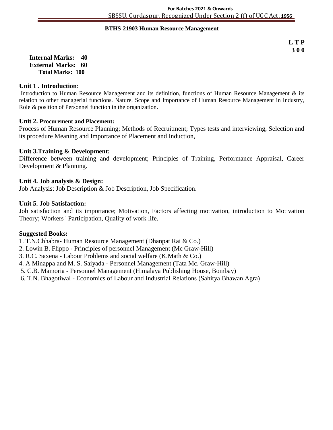# **BTHS ) -21903 Human Resource Management**

**L T P 3 0 0**

**Internal Marks: 40 External Marks: 60 Total Marks: 100** 

#### **Unit 1 . Introduction**:

Introduction to Human Resource Management and its definition, functions of Human Resource Management & its relation to other managerial functions. Nature, Scope and Importance of Human Resource Management in Industry, Role & position of Personnel function in the organization.

#### **Unit 2. Procurement and Placement:**

Process of Human Resource Planning; Methods of Recruitment; Types tests and interviewing, Selection and its procedure Meaning and Importance of Placement and Induction,

#### **Unit 3.Training & Development:**

Difference between training and development; Principles of Training, Performance Appraisal, Career Development & Planning.

#### **Unit 4. Job analysis & Design:**

Job Analysis: Job Description & Job Description, Job Specification.

#### **Unit 5. Job Satisfaction:**

Job satisfaction and its importance; Motivation, Factors affecting motivation, introduction to Motivation Theory; Workers ' Participation, Quality of work life.

- 1. T.N.Chhabra- Human Resource Management (Dhanpat Rai & Co.)
- 2. Lowin B. Flippo Principles of personnel Management (Mc Graw-Hill)
- 3. R.C. Saxena Labour Problems and social welfare (K.Math & Co.)
- 4. A Minappa and M. S. Saiyada Personnel Management (Tata Mc. Graw-Hill)
- 5. C.B. Mamoria Personnel Management (Himalaya Publishing House, Bombay)
- 6. T.N. Bhagotiwal Economics of Labour and Industrial Relations (Sahitya Bhawan Agra)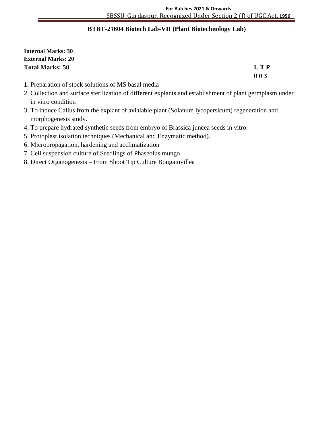#### **BTBT-21604 Biotech Lab-VII (Plant Biotechnology Lab) )**

**Internal Marks: 30 External Marks: 20 Total Marks: 50 L T P**

**0 0 3**

- **1.** Preparation of stock solutions of MS basal media
- 2. Collection and surface sterilization of different explants and establishment of plant germplasm under in vitro condition
- 3. To induce Callus from the explant of avialable plant (Solanum lycopersicum) regeneration and morphogenesis study.
- 4. To prepare hydrated synthetic seeds from embryo of Brassica juncea seeds in vitro.
- 5. Protoplast isolation techniques (Mechanical and Enzymatic method).
- 6. Micropropagation, hardening and acclimatization
- 7. Cell suspension culture of Seedlings of Phaseolus mungo
- 8. Direct Organogenesis From Shoot Tip Culture Bougainvillea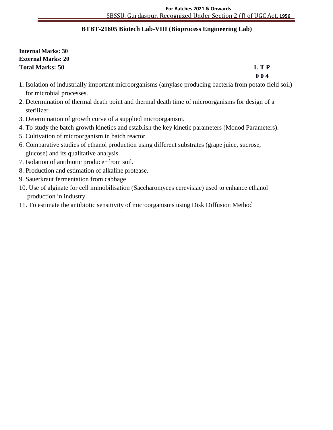# **BTBT-21605 Biotech Lab-VIII (Bioprocess Engineering Lab) )**

**Internal Marks: 30 External Marks: 20 Total Marks: 50 L T P**

**0 0 4**

- **1.** Isolation of industrially important microorganisms (amylase producing bacteria from potato field soil) for microbial processes.
- 2. Determination of thermal death point and thermal death time of microorganisms for design of a sterilizer.
- 3. Determination of growth curve of a supplied microorganism.
- 4. To study the batch growth kinetics and establish the key kinetic parameters (Monod Parameters).
- 5. Cultivation of microorganism in batch reactor.
- 6. Comparative studies of ethanol production using different substrates (grape juice, sucrose, glucose) and its qualitative analysis.
- 7. Isolation of antibiotic producer from soil.
- 8. Production and estimation of alkaline protease.
- 9. Sauerkraut fermentation from cabbage
- 10. Use of alginate for cell immobilisation (Saccharomyces cerevisiae) used to enhance ethanol production in industry.
- 11. To estimate the antibiotic sensitivity of microorganisms using Disk Diffusion Method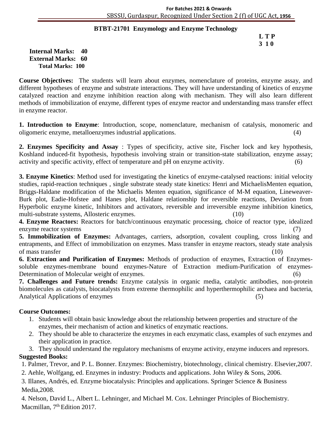#### **BTBT-21701 Enzymology and Enzyme Technology )**

 **L T P 3 1 0**

**Internal Marks: 40 External Marks: 60 Total Marks: 100** 

**Course Objectives:** The students will learn about enzymes, nomenclature of proteins, enzyme assay, and different hypotheses of enzyme and substrate interactions. They will have understanding of kinetics of enzyme catalyzed reaction and enzyme inhibition reaction along with mechanism. They will also learn different methods of immobilization of enzyme, different types of enzyme reactor and understanding mass transfer effect in enzyme reactor.

**1. Introduction to Enzyme**: Introduction, scope, nomenclature, mechanism of catalysis, monomeric and oligomeric enzyme, metalloenzymes industrial applications. (4)

**2. Enzymes Specificity and Assay** : Types of specificity, active site, Fischer lock and key hypothesis, Koshland induced-fit hypothesis, hypothesis involving strain or transition-state stabilization, enzyme assay; activity and specific activity, effect of temperature and pH on enzyme activity. (6)

**3. Enzyme Kinetics**: Method used for investigating the kinetics of enzyme-catalysed reactions: initial velocity studies, rapid-reaction techniques , single substrate steady state kinetics: Henri and MichaelisMenten equation, Briggs-Haldane modification of the Michaelis Menten equation, significance of M-M equation, Lineweaver-Burk plot, Eadie-Hofstee and Hanes plot, Haldane relationship for reversible reactions, Deviation from Hyperbolic enzyme kinetic, Inhibitors and activators, reversible and irreversible enzyme inhibition kinetics, multi-substrate systems, Allosteric enzymes. (10)

**4. Enzyme Reactors:** Reactors for batch/continuous enzymatic processing, choice of reactor type, idealized enzyme reactor systems (7)

**5. Immobilization of Enzymes:** Advantages, carriers, adsorption, covalent coupling, cross linking and entrapments, and Effect of immobilization on enzymes. Mass transfer in enzyme reactors, steady state analysis of mass transfer (10)

**6. Extraction and Purification of Enzymes:** Methods of production of enzymes, Extraction of Enzymessoluble enzymes-membrane bound enzymes-Nature of Extraction medium-Purification of enzymes-Determination of Molecular weight of enzymes. (6)

**7. Challenges and Future trends:** Enzyme catalysis in organic media, catalytic antibodies, non-protein biomolecules as catalysts, biocatalysts from extreme thermophilic and hyperthermophilic archaea and bacteria, Analytical Applications of enzymes (5)

#### **Course Outcomes:**

- 1. Students will obtain basic knowledge about the relationship between properties and structure of the enzymes, their mechanism of action and kinetics of enzymatic reactions.
- 2. They should be able to characterize the enzymes in each enzymatic class, examples of such enzymes and their application in practice.

3. They should understand the regulatory mechanisms of enzyme activity, enzyme inducers and represors. **Suggested Books:**

1. Palmer, Trevor, and P. L. Bonner. Enzymes: Biochemistry, biotechnology, clinical chemistry. Elsevier,2007.

2. Aehle, Wolfgang, ed. Enzymes in industry: Products and applications. John Wiley & Sons, 2006.

3. Illanes, Andrés, ed. Enzyme biocatalysis: Principles and applications. Springer Science & Business Media,2008.

4. Nelson, David L., Albert L. Lehninger, and Michael M. Cox. Lehninger Principles of Biochemistry. Macmillan, 7<sup>th</sup> Edition 2017.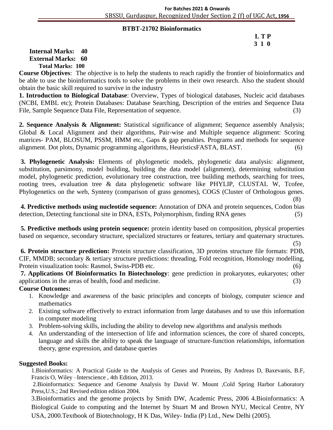#### **BTBT-21702 Bioinformatics)**

#### **L T P 3 1 0**

**Internal Marks: 40 External Marks: 60 Total Marks: 100** 

**Course Objectives**: The objective is to help the students to reach rapidly the frontier of bioinformatics and be able to use the bioinformatics tools to solve the problems in their own research. Also the student should obtain the basic skill required to survive in the industry

**1. Introduction to Biological Database**: Overview, Types of biological databases, Nucleic acid databases (NCBI, EMBL etc); Protein Databases: Database Searching, Description of the entries and Sequence Data File, Sample Sequence Data File, Representation of sequence. (3)

**2. Sequence Analysis & Alignment:** Statistical significance of alignment; Sequence assembly Analysis; Global & Local Alignment and their algorithms, Pair-wise and Multiple sequence alignment: Scoring matrices- PAM, BLOSUM, PSSM, HMM etc., Gaps & gap penalties. Programs and methods for sequence alignment. Dot plots, Dynamic programming algorithms, HeuristicsFASTA, BLAST. (6)

**3. Phylogenetic Analysis:** Elements of phylogenetic models, phylogenetic data analysis: alignment, substitution, parsimony, model building, building the data model (alignment), determining substitution model, phylogenetic prediction, evolutionary tree construction, tree building methods, searching for trees, rooting trees, evaluation tree & data phylogenetic software like PHYLIP, CLUSTAL W, Tcofee, Phylogenetics on the web, Synteny (comparison of grass genomes), COGS (Cluster of Orthologous genes. (8)

**4. Predictive methods using nucleotide sequence:** Annotation of DNA and protein sequences, Codon bias detection, Detecting functional site in DNA, ESTs, Polymorphism, finding RNA genes (5)

**5. Predictive methods using protein sequence:** protein identity based on composition, physical properties based on sequence, secondary structure, specialized structures or features, tertiary and quaternary structures.

 $(5)$ **6. Protein structure prediction:** Protein structure classification, 3D proteins structure file formats: PDB, CIF, MMDB; secondary & tertiary structure predictions: threading, Fold recognition, Homology modelling, Protein visualization tools: Rasmol, Swiss-PDB etc. (6)

**7. Applications Of Bioinformatics In Biotechnology**: gene prediction in prokaryotes, eukaryotes; other applications in the areas of health, food and medicine. (3)

## **Course Outcomes:**

- 1. Knowledge and awareness of the basic principles and concepts of biology, computer science and mathematics
- 2. Existing software effectively to extract information from large databases and to use this information in computer modeling
- 3. Problem-solving skills, including the ability to develop new algorithms and analysis methods
- 4. An understanding of the intersection of life and information sciences, the core of shared concepts, language and skills the ability to speak the language of structure-function relationships, information theory, gene expression, and database queries

#### **Suggested Books:**

1.Bioinformatics: A Practical Guide to the Analysis of Genes and Proteins, By Andreas D, Baxevanis, B.F, Francis O, Wiley –Interscience , 4th Edition, 2013.

2.Bioinformatics: Sequence and Genome Analysis by David W. Mount ,Cold Spring Harbor Laboratory Press,U.S.; 2nd Revised edition edition 2004.

3.Bioinformatics and the genome projects by Smith DW, Academic Press, 2006 4.Bioinformatics: A Biological Guide to computing and the Internet by Stuart M and Brown NYU, Mecical Centre, NY USA, 2000.Textbook of Biotechnology, H K Das, Wiley- India (P) Ltd., New Delhi (2005).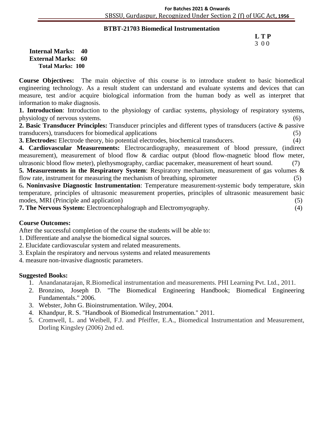#### **BTBT-21703 Biomedical Instrumentation )**

# **L T P** 3 0 0

**Internal Marks: 40 External Marks: 60 Total Marks: 100** 

**Course Objectives:** The main objective of this course is to introduce student to basic biomedical engineering technology. As a result student can understand and evaluate systems and devices that can measure, test and/or acquire biological information from the human body as well as interpret that information to make diagnosis.

**1. Introduction**: Introduction to the physiology of cardiac systems, physiology of respiratory systems, physiology of nervous systems. (6)

**2. Basic Transducer Principles:** Transducer principles and different types of transducers (active & passive transducers), transducers for biomedical applications (5)

**3. Electrodes:** Electrode theory, bio potential electrodes, biochemical transducers. (4)

**4. Cardiovascular Measurements:** Electrocardiography, measurement of blood pressure, (indirect measurement), measurement of blood flow & cardiac output (blood flow-magnetic blood flow meter, ultrasonic blood flow meter), plethysmography, cardiac pacemaker, measurement of heart sound. (7)

**5. Measurements in the Respiratory System**: Respiratory mechanism, measurement of gas volumes & flow rate, instrument for measuring the mechanism of breathing, spirometer (5)

6**. Noninvasive Diagnostic Instrumentation**: Temperature measurement-systemic body temperature, skin temperature, principles of ultrasonic measurement properties, principles of ultrasonic measurement basic modes, MRI (Principle and application) (5)

**7. The Nervous System:** Electroencephalograph and Electromyography. (4)

#### **Course Outcomes:**

After the successful completion of the course the students will be able to:

- 1. Differentiate and analyse the biomedical signal sources.
- 2. Elucidate cardiovascular system and related measurements.
- 3. Explain the respiratory and nervous systems and related measurements
- 4. measure non-invasive diagnostic parameters.

- 1. Anandanatarajan, R.Biomedical instrumentation and measurements. PHI Learning Pvt. Ltd., 2011.
- 2. Bronzino, Joseph D. "The Biomedical Engineering Handbook; Biomedical Engineering Fundamentals." 2006.
- 3. Webster, John G. Bioinstrumentation. Wiley, 2004.
- 4. Khandpur, R. S. "Handbook of Biomedical Instrumentation." 2011.
- 5. Cromwell, L. and Weibell, F.J. and Pfeiffer, E.A., Biomedical Instrumentation and Measurement, Dorling Kingsley (2006) 2nd ed.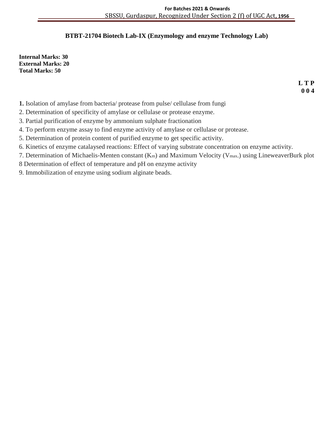# **BTBT-21704 Biotech Lab-IX (Enzymology and enzyme Technology Lab)**

**Internal Marks: 30 External Marks: 20 Total Marks: 50**

> **L T P 0 0 4**

- **1.** Isolation of amylase from bacteria/ protease from pulse/ cellulase from fungi
- 2. Determination of specificity of amylase or cellulase or protease enzyme.
- 3. Partial purification of enzyme by ammonium sulphate fractionation
- 4. To perform enzyme assay to find enzyme activity of amylase or cellulase or protease.
- 5. Determination of protein content of purified enzyme to get specific activity.
- 6. Kinetics of enzyme catalaysed reactions: Effect of varying substrate concentration on enzyme activity.
- 7. Determination of Michaelis-Menten constant (Km) and Maximum Velocity (Vmax.) using LineweaverBurk plot
- 8 Determination of effect of temperature and pH on enzyme activity
- 9. Immobilization of enzyme using sodium alginate beads.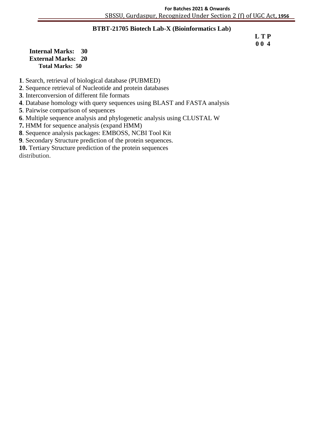#### **BTBT-21705 Biotech Lab-X (Bioinformatics Lab) )**

 **L T P 0 0 4**

**Internal Marks: 30 External Marks: 20 Total Marks: 50** 

**1**. Search, retrieval of biological database (PUBMED)

**2**. Sequence retrieval of Nucleotide and protein databases

**3**. Interconversion of different file formats

**4**. Database homology with query sequences using BLAST and FASTA analysis

**5**. Pairwise comparison of sequences

**6**. Multiple sequence analysis and phylogenetic analysis using CLUSTAL W

**7.** HMM for sequence analysis (expand HMM)

**8**. Sequence analysis packages: EMBOSS, NCBI Tool Kit

**9**. Secondary Structure prediction of the protein sequences.

**10.** Tertiary Structure prediction of the protein sequences

distribution.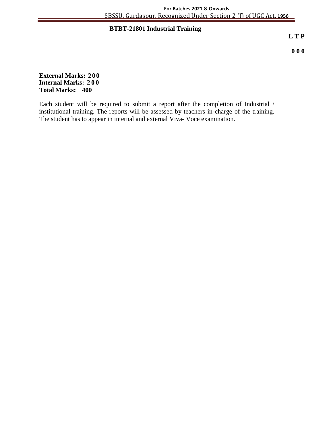## **BTBT-21801 Industrial Training )**

**L T P**

**0 0 0**

**External Marks: 200 Internal Marks: 200 Total Marks: 400**

Each student will be required to submit a report after the completion of Industrial / institutional training. The reports will be assessed by teachers in-charge of the training. The student has to appear in internal and external Viva- Voce examination.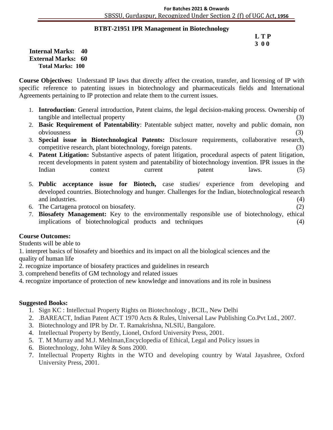#### **BTBT-21951 IPR Management in Biotechnology )**

#### **L T P 3 0 0**

**Internal Marks: 40 External Marks: 60 Total Marks: 100** 

**Course Objectives:** Understand IP laws that directly affect the creation, transfer, and licensing of IP with specific reference to patenting issues in biotechnology and pharmaceuticals fields and International Agreements pertaining to IP protection and relate them to the current issues.

- 1. **Introduction**: General introduction, Patent claims, the legal decision-making process. Ownership of tangible and intellectual property (3)
- 2. **Basic Requirement of Patentability**: Patentable subject matter, novelty and public domain, non obviousness (3)
- 3. **Special issue in Biotechnological Patents:** Disclosure requirements, collaborative research, competitive research, plant biotechnology, foreign patents. (3)
- 4. **Patent Litigation:** Substantive aspects of patent litigation, procedural aspects of patent litigation, recent developments in patent system and patentability of biotechnology invention. IPR issues in the Indian context current patent laws. (5)
- 5. **Public acceptance issue for Biotech,** case studies/ experience from developing and developed countries. Biotechnology and hunger. Challenges for the Indian, biotechnological research and industries. (4)
- 6. The Cartagena protocol on biosafety. (2)
- 7. **Biosafety Management:** Key to the environmentally responsible use of biotechnology, ethical implications of biotechnological products and techniques (4)

#### **Course Outcomes:**

Students will be able to

1. interpret basics of biosafety and bioethics and its impact on all the biological sciences and the quality of human life

- 2. recognize importance of biosafety practices and guidelines in research
- 3. comprehend benefits of GM technology and related issues
- 4. recognize importance of protection of new knowledge and innovations and its role in business

- 1. Sign KC : Intellectual Property Rights on Biotechnology , BCIL, New Delhi
- 2. .BAREACT, Indian Patent ACT 1970 Acts & Rules, Universal Law Publishing Co.Pvt Ltd., 2007.
- 3. Biotechnology and IPR by Dr. T. Ramakrishna, NLSIU, Bangalore.
- 4. Intellectual Property by Bently, Lionel, Oxford University Press, 2001.
- 5. T. M Murray and M.J. Mehlman,Encyclopedia of Ethical, Legal and Policy issues in
- 6. Biotechnology, John Wiley & Sons 2000.
- 7. Intellectual Property Rights in the WTO and developing country by Watal Jayashree, Oxford University Press, 2001.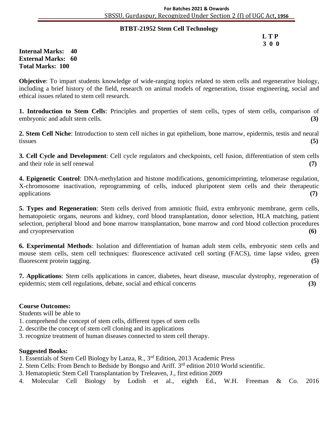#### **BTBT-21952 Stem Cell Technology )**

 **L T P 3 0 0**

#### **Internal Marks: 40 External Marks: 60 Total Marks: 100**

**Objective**: To impart students knowledge of wide-ranging topics related to stem cells and regenerative biology, including a brief history of the field, research on animal models of regeneration, tissue engineering, social and ethical issues related to stem cell research.

**1. Introduction to Stem Cells**: Principles and properties of stem cells, types of stem cells, comparison of embryonic and adult stem cells. **(3)**

**2. Stem Cell Niche**: Introduction to stem cell niches in gut epithelium, bone marrow, epidermis, testis and neural tissues **(5)**

**3. Cell Cycle and Development**: Cell cycle regulators and checkpoints, cell fusion, differentiation of stem cells and their role in self renewal **(7)**

**4. Epigenetic Control**: DNA-methylation and histone modifications, genomicimprinting, telomerase regulation, X-chromosome inactivation, reprogramming of cells, induced pluripotent stem cells and their therapeutic applications **(7)**

**5. Types and Regeneration**: Stem cells derived from amniotic fluid, extra embryonic membrane, germ cells, hematopoietic organs, neurons and kidney, cord blood transplantation, donor selection, HLA matching, patient selection, peripheral blood and bone marrow transplantation, bone marrow and cord blood collection procedures and cryopreservation **(6)**

**6. Experimental Methods**: Isolation and differentiation of human adult stem cells, embryonic stem cells and mouse stem cells, stem cell techniques: fluorescence activated cell sorting (FACS), time lapse video, green fluorescent protein tagging. **(5)**

**7. Applications**: Stem cells applications in cancer, diabetes, heart disease, muscular dystrophy, regeneration of epidermis; stem cell regulations, debate, social and ethical concerns **(3)**

#### **Course Outcomes:**

Students will be able to

- 1. comprehend the concept of stem cells, different types of stem cells
- 2. describe the concept of stem cell cloning and its applications
- 3. recognize treatment of human diseases connected to stem cell therapy.

- 1. Essentials of Stem Cell Biology by Lanza, R., 3rd Edition, 2013 Academic Press
- 2. Stem Cells: From Bench to Bedside by Bongso and Ariff. 3rd edition 2010 World scientific.
- 3. Hematopietic Stem Cell Transplantation by Treleaven, J., first edition 2009
- 4. Molecular Cell Biology by Lodish et al., eighth Ed., W.H. Freeman & Co. 2016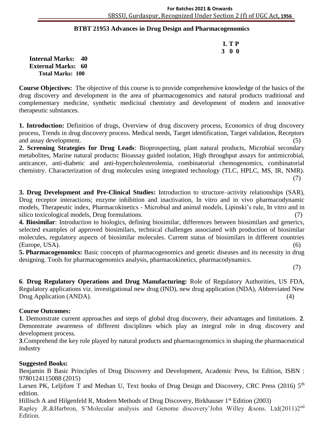#### **BTBT 21953 Advances in Drug Design and Pharmacogenomics )**

 **L T P 3 0 0**

**Internal Marks: 40 External Marks: 60 Total Marks: 100** 

**Course Objectives:** The objective of this course is to provide comprehensive knowledge of the basics of the drug discovery and development in the area of pharmacogenomics and natural products traditional and complementary medicine, synthetic medicinal chemistry and development of modern and innovative therapeutic substances.

**1. Introduction:** Definition of drugs, Overview of drug discovery process, Economics of drug discovery process, Trends in drug discovery process. Medical needs, Target identification, Target validation, Receptors and assay development. (5)

**2. Screening Strategies for Drug Leads**: Bioprospecting, plant natural products, Microbial secondary metabolites, Marine natural products**:** Bioassay guided isolation, High throughput assays for antimicrobial, anticancer, anti-diabetic and anti-hypercholesterolemia, combinatorial chemogenomics, combinatorial chemistry. Characterization of drug molecules using integrated technology (TLC, HPLC, MS, IR, NMR).

(7)

**3. Drug Development and Pre-Clinical Studies:** Introduction to structure–activity relationships (SAR), Drug receptor interactions; enzyme inhibition and inactivation, In vitro and in vivo pharmacodynamic models, Therapeutic index, Pharmacokinetics - Microbial and animal models, Lipinski's rule, In vitro and in silico toxicological models, Drug formulations.

**4. Biosimilar**: Introduction to biologics, defining biosimilar, differences between biosimilars and generics, selected examples of approved biosimilars, technical challenges associated with production of biosimilar molecules, regulatory aspects of biosimilar molecules. Current status of biosimilars in different countries (Europe, USA). (6)

**5. Pharmacogenomics:** Basic concepts of pharmacogenomics and genetic diseases and its necessity in drug designing. Tools for pharmacogenomics analysis, pharmacokinetics, pharmacodynamics.

(7)

**6**. **Drug Regulatory Operations and Drug Manufacturing:** Role of Regulatory Authorities, US FDA, Regulatory applications viz. investigational new drug (IND), new drug application (NDA), Abbreviated New Drug Application (ANDA). (4)

#### **Course Outcomes:**

**1**. Demonstrate current approaches and steps of global drug discovery, their advantages and limitations. **2**. Demonstrate awareness of different disciplines which play an integral role in drug discovery and development process.

**3**.Comprehend the key role played by natural products and pharmacogenomics in shaping the pharmaceutical industry

#### **Suggested Books:**

Benjamin B Basic Principles of Drug Discovery and Development, Academic Press, Ist Edition, ISBN : 9780124115088 (2015)

Larsen PK, Leljifore T and Medsan U, Text books of Drug Design and Discovery, CRC Press (2016) 5<sup>th</sup> edition.

Hillisch A and Hilgenfeld R, Modern Methods of Drug Discovery, Birkhauser 1<sup>st</sup> Edition (2003) Rapley ,R.&Harbron, S'Molecular analysis and Genome discovery'John Willey &sons. Ltd(2011)2nd Edition.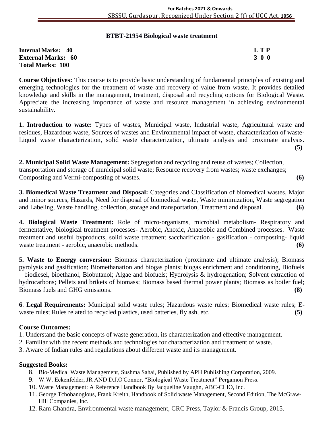#### **BTBT-21954 Biological waste treatment**

| <b>Internal Marks: 40</b> | L T P |
|---------------------------|-------|
| <b>External Marks: 60</b> | 300   |
| <b>Total Marks: 100</b>   |       |

**Course Objectives:** This course is to provide basic understanding of fundamental principles of existing and emerging technologies for the treatment of waste and recovery of value from waste. It provides detailed knowledge and skills in the management, treatment, disposal and recycling options for Biological Waste. Appreciate the increasing importance of waste and resource management in achieving environmental sustainability.

**1. Introduction to waste:** Types of wastes, Municipal waste, Industrial waste, Agricultural waste and residues, Hazardous waste, Sources of wastes and Environmental impact of waste, characterization of waste-Liquid waste characterization, solid waste characterization, ultimate analysis and proximate analysis. **(5)**

**2. Municipal Solid Waste Management:** Segregation and recycling and reuse of wastes; Collection, transportation and storage of municipal solid waste; Resource recovery from wastes; waste exchanges; Composting and Vermi-composting of wastes. **(6)**

**3. Biomedical Waste Treatment and Disposal:** Categories and Classification of biomedical wastes, Major and minor sources, Hazards, Need for disposal of biomedical waste, Waste minimization, Waste segregation and Labeling, Waste handling, collection, storage and transportation, Treatment and disposal. **(6)**

**4. Biological Waste Treatment:** Role of micro-organisms, microbial metabolism- Respiratory and fermentative, biological treatment processes- Aerobic, Anoxic, Anaerobic and Combined processes. Waste treatment and useful byproducts, solid waste treatment saccharification - gasification - composting- liquid waste treatment - aerobic, anaerobic methods. **(6)** 

**5. Waste to Energy conversion:** Biomass characterization (proximate and ultimate analysis); Biomass pyrolysis and gasification; Biomethanation and biogas plants; biogas enrichment and conditioning, Biofuels – biodiesel, bioethanol, Biobutanol; Algae and biofuels; Hydrolysis & hydrogenation; Solvent extraction of hydrocarbons; Pellets and brikets of biomass; Biomass based thermal power plants; Biomass as boiler fuel; Biomass fuels and GHG emissions. **(8)**

**6**. **Legal Requirements:** Municipal solid waste rules; Hazardous waste rules; Biomedical waste rules; Ewaste rules; Rules related to recycled plastics, used batteries, fly ash, etc. **(5)** 

#### **Course Outcomes:**

1. Understand the basic concepts of waste generation, its characterization and effective management.

- 2. Familiar with the recent methods and technologies for characterization and treatment of waste.
- 3. Aware of Indian rules and regulations about different waste and its management.

- 8. Bio-Medical Waste Management, Sushma Sahai, Published by APH Publishing Corporation, 2009.
- 9. W.W. Eckenfelder, JR AND D.J.O'Connor, "Biological Waste Treatment" Pergamon Press.
- 10. Waste Management: A Reference Handbook By Jacqueline Vaughn, ABC-CLIO, Inc.
- 11. George Tchobanoglous, Frank Kreith, Handbook of Solid waste Management, Second Edition, The McGraw-Hill Companies, Inc.
- 12. Ram Chandra, Environmental waste management, CRC Press, Taylor & Francis Group, 2015.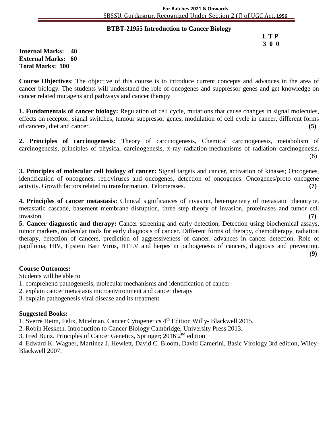#### **BTBT-21955 Introduction to Cancer Biology )**

 **L T P 3 0 0**

**Internal Marks: 40 External Marks: 60 Total Marks: 100** 

**Course Objectives**: The objective of this course is to introduce current concepts and advances in the area of cancer biology. The students will understand the role of oncogenes and suppressor genes and get knowledge on cancer related mutagens and pathways and cancer therapy

**1. Fundamentals of cancer biology:** Regulation of cell cycle, mutations that cause changes in signal molecules, effects on receptor, signal switches, tumour suppressor genes, modulation of cell cycle in cancer, different forms of cancers, diet and cancer. **(5)**

**2. Principles of carcinogenesis:** Theory of carcinogenesis, Chemical carcinogenesis, metabolism of carcinogenesis, principles of physical carcinogenesis, x-ray radiation-mechanisms of radiation carcinogenesis**.** (8)

**3. Principles of molecular cell biology of cancer:** Signal targets and cancer, activation of kinases; Oncogenes, identification of oncogenes, retroviruses and oncogenes, detection of oncogenes. Oncogenes/proto oncogene activity. Growth factors related to transformation. Telomerases. **(7)**

**4. Principles of cancer metastasis:** Clinical significances of invasion, heterogeneity of metastatic phenotype, metastatic cascade, basement membrane disruption, three step theory of invasion, proteinases and tumor cell invasion. **(7)**

**5. Cancer diagnostic and therapy:** Cancer screening and early detection, Detection using biochemical assays, tumor markers, molecular tools for early diagnosis of cancer. Different forms of therapy, chemotherapy, radiation therapy, detection of cancers, prediction of aggressiveness of cancer, advances in cancer detection. Role of papilloma, HIV, Epstein Barr Virus, HTLV and herpes in pathogenesis of cancers, diagnosis and prevention.

**(9)**

#### **Course Outcomes:**

Students will be able to

- 1. comprehend pathogenesis, molecular mechanisms and identification of cancer
- 2. explain cancer metastasis microenvironment and cancer therapy

3. explain pathogenesis viral disease and its treatment.

#### **Suggested Books:**

1. Sverre Heim, Felix, Mitelman. Cancer Cytogenetics 4th Edition Willy- Blackwell 2015.

2. Robin Hesketh. Introduction to Cancer Biology Cambridge, University Press 2013.

3. Fred Bunz. Principles of Cancer Genetics, Springer;  $2016\overline{2}^{\text{nd}}$  edition

4. Edward K. Wagner, Martinez J. Hewlett, David C. Bloom, David Camerini, Basic Virology 3rd edition, Wiley-Blackwell 2007.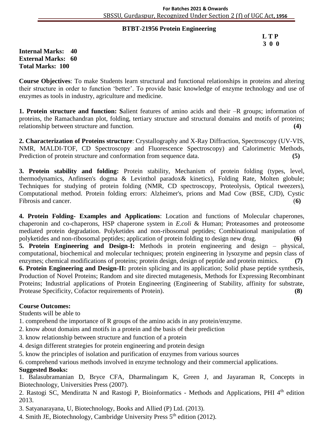#### **BTBT-21956 Protein Engineering )**

 **L T P 3 0 0**

**Internal Marks: 40 External Marks: 60 Total Marks: 100** 

**Course Objectives**: To make Students learn structural and functional relationships in proteins and altering their structure in order to function 'better'. To provide basic knowledge of enzyme technology and use of enzymes as tools in industry, agriculture and medicine.

**1. Protein structure and function: S**alient features of amino acids and their –R groups; information of proteins, the Ramachandran plot, folding, tertiary structure and structural domains and motifs of proteins; relationship between structure and function. **(4)**

**2. Characterization of Proteins structure**: Crystallography and X-Ray Diffraction, Spectroscopy (UV-VIS, NMR, MALDI-TOF, CD Spectroscopy and Fluorescence Spectroscopy) and Calorimetric Methods, Prediction of protein structure and conformation from sequence data. **(5)** 

**3. Protein stability and folding:** Protein stability, Mechanism of protein folding (types, level, thermodynamics, Anfinsen's dogma & Levinthol paradox& kinetics), Folding Rate, Molten globule; Techniques for studying of protein folding (NMR, CD spectroscopy, Proteolysis, Optical tweezers), Computational method. Protein folding errors: Alzheimer's, prions and Mad Cow (BSE, CJD), Cystic Fibrosis and cancer. (**6)**

**4. Protein Folding- Examples and Applications**: Location and functions of Molecular chaperones, chaperonin and co-chaperons, HSP chaperone system in *E.coli* & Human; Proteasomes and proteosome mediated protein degradation. Polyketides and non-ribosomal peptides; Combinational manipulation of polyketides and non-ribosomal peptides; application of protein folding to design new drug. **(6)**

**5. Protein Engineering and Design-I:** Methods in protein engineering and design – physical, computational, biochemical and molecular techniques; protein engineering in lysozyme and pepsin class of enzymes; chemical modifications of proteins; protein design, design of peptide and protein mimics. **(7)** 

**6. Protein Engineering and Design-II:** protein splicing and its application; Solid phase peptide synthesis, Production of Novel Proteins; Random and site directed mutagenesis, Methods for Expressing Recombinant Proteins; Industrial applications of Protein Engineering (Engineering of Stability, affinity for substrate, Protease Specificity, Cofactor requirements of Protein). **(8)**

#### **Course Outcomes:**

Students will be able to

- 1. comprehend the importance of R groups of the amino acids in any protein/enzyme.
- 2. know about domains and motifs in a protein and the basis of their prediction
- 3. know relationship between structure and function of a protein
- 4. design different strategies for protein engineering and protein design
- 5. know the principles of isolation and purification of enzymes from various sources

6. comprehend various methods involved in enzyme technology and their commercial applications.

#### **Suggested Books:**

1. Balasubramanian D, Bryce CFA, Dharmalingam K, Green J, and Jayaraman R, Concepts in Biotechnology, Universities Press (2007).

2. Rastogi SC, Mendiratta N and Rastogi P, Bioinformatics - Methods and Applications, PHI 4<sup>th</sup> edition 2013.

3. Satyanarayana, U, Biotechnology, Books and Allied (P) Ltd. (2013).

4. Smith JE, Biotechnology, Cambridge University Press  $5<sup>th</sup>$  edition (2012).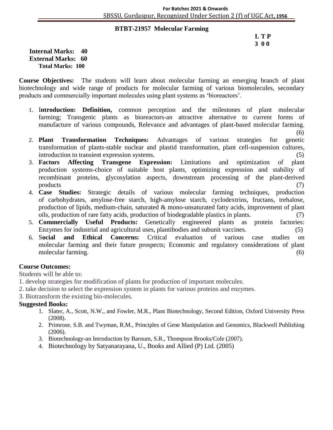#### **BTBT-21957 Molecular Farming )**

#### **L T P 3 0 0**

**Internal Marks: 40 External Marks: 60 Total Marks: 100** 

**Course Objectives:** The students will learn about molecular farming an emerging branch of plant biotechnology and wide range of products for molecular farming of various biomolecules, secondary products and commercially important molecules using plant systems as 'bioreactors'.

- 1. I**ntroduction: Definition,** common perception and the milestones of plant molecular farming; Transgenic plants as bioreactors-an attractive alternative to current forms of manufacture of various compounds, Relevance and advantages of plant-based molecular farming.
	- (6)
- 2. **Plant Transformation Techniques:** Advantages of various strategies for genetic transformation of plants-stable nuclear and plastid transformation, plant cell-suspension cultures, introduction to transient expression systems. (5)
- 3. **Factors Affecting Transgene Expression:** Limitations and optimization of plant production systems-choice of suitable host plants, optimizing expression and stability of recombinant proteins, glycosylation aspects, downstream processing of the plant-derived products (7)
- 4. **Case Studies:** Strategic details of various molecular farming techniques, production of carbohydrates, amylose-free starch, high-amylose starch, cyclodextrins, fructans, trehalose, production of lipids, medium-chain, saturated & mono-unsaturated fatty acids, improvement of plant oils, production of rare fatty acids, production of biodegradable plastics in plants. (7)
- 5. **Commercially Useful Products:** Genetically engineered plants as protein factories: Enzymes for industrial and agricultural uses, plantibodies and subunit vaccines. (5)
- 6. S**ocial and Ethical Concerns:** Critical evaluation of various case studies on molecular farming and their future prospects; Economic and regulatory considerations of plant molecular farming. (6)

#### **Course Outcomes:**

Students will be able to:

- 1. develop strategies for modification of plants for production of important molecules.
- 2. take decision to select the expression system in plants for various proteins and enzymes.
- 3. Biotransform the existing bio-molecules.

- 1. Slater, A., Scott, N.W., and Fowler, M.R., Plant Biotechnology, Second Edition, Oxford University Press (2008).
- 2. Primrose, S.B. and Twyman, R.M., Principles of Gene Manipulation and Genomics, Blackwell Publishing (2006).
- 3. Biotechnology-an Introduction by Barnum, S.R., Thompson Brooks/Cole (2007).
- 4. Biotechnology by Satyanarayana, U., Books and Allied (P) Ltd. (2005)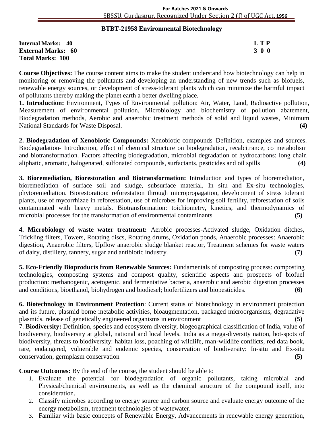#### **BTBT-21958 Environmental Biotechnology )**

| <b>Internal Marks: 40</b> | <b>LTP</b> |
|---------------------------|------------|
| <b>External Marks: 60</b> | 3 0 0      |
| <b>Total Marks: 100</b>   |            |

**Course Objectives:** The course content aims to make the student understand how biotechnology can help in monitoring or removing the pollutants and developing an understanding of new trends such as biofuels, renewable energy sources, or development of stress-tolerant plants which can minimize the harmful impact of pollutants thereby making the planet earth a better dwelling place.

**1. Introduction:** Environment, Types of Environmental pollution: Air, Water, Land, Radioactive pollution, Measurement of environmental pollution, Microbiology and biochemistry of pollution abatement, Biodegradation methods, Aerobic and anaerobic treatment methods of solid and liquid wastes, Minimum National Standards for Waste Disposal. **(4)**

**2. Biodegradation of Xenobiotic Compounds:** Xenobiotic compounds–Definition, examples and sources. Biodegradation- Introduction, effect of chemical structure on biodegradation, recalcitrance, co metabolism and biotransformation. Factors affecting biodegradation, microbial degradation of hydrocarbons: long chain aliphatic, aromatic, halogenated, sulfonated compounds, surfactants, pesticides and oil spills **(4)**

**3. Bioremediation, Biorestoration and Biotransformation:** Introduction and types of bioremediation, bioremediation of surface soil and sludge, subsurface material, In situ and Ex-situ technologies, phytoremediation. Biorestoration: reforestation through micropropagation, development of stress tolerant plants, use of mycorrhizae in reforestation, use of microbes for improving soil fertility, reforestation of soils contaminated with heavy metals. Biotransformation: toichiometry, kinetics, and thermodynamics of microbial processes for the transformation of environmental contaminants (5)

**4. Microbiology of waste water treatment:** Aerobic processes-Activated sludge, Oxidation ditches, Trickling filters, Towers, Rotating discs, Rotating drums, Oxidation ponds, Anaerobic processes: Anaerobic digestion, Anaerobic filters, Upflow anaerobic sludge blanket reactor, Treatment schemes for waste waters of dairy, distillery, tannery, sugar and antibiotic industry. **(7)**

**5. Eco-Friendly Bioproducts from Renewable Sources:** Fundamentals of composting process: composting technologies, composting systems and compost quality, scientific aspects and prospects of biofuel production: methanogenic, acetogenic, and fermentative bacteria, anaerobic and aerobic digestion processes and conditions, bioethanol, biohydrogen and biodiesel; biofertilizers and biopesticides. **(6)**

**6. Biotechnology in Environment Protection**: Current status of biotechnology in environment protection and its future, plasmid borne metabolic activities, bioaugmentation, packaged microorganisms, degradative plasmids, release of genetically engineered organisms in environment **(5)**

7. **Biodiversity:** Definition, species and ecosystem diversity, biogeographical classification of India, value of biodiversity, biodiversity at global, national and local levels. India as a mega-diversity nation, hot-spots of biodiversity, threats to biodiversity: habitat loss, poaching of wildlife, man-wildlife conflicts, red data book, rare, endangered, vulnerable and endemic species, conservation of biodiversity: In-situ and Ex-situ conservation, germplasm conservation **(5)**

**Course Outcomes:** By the end of the course, the student should be able to

- 1. Evaluate the potential for biodegradation of organic pollutants, taking microbial and Physical/chemical environments, as well as the chemical structure of the compound itself, into consideration.
- 2. Classify microbes according to energy source and carbon source and evaluate energy outcome of the energy metabolism, treatment technologies of wastewater.
- 3. Familiar with basic concepts of Renewable Energy, Advancements in renewable energy generation,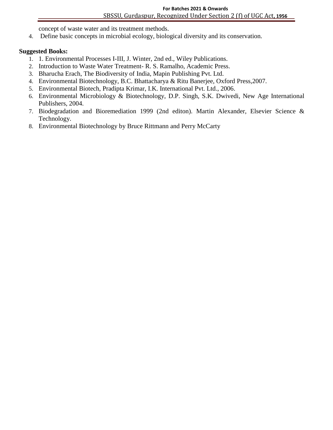concept of waste water and its treatment methods. **)**

4. Define basic concepts in microbial ecology, biological diversity and its conservation.

- 1. 1. Environmental Processes I-III, J. Winter, 2nd ed., Wiley Publications.
- 2. Introduction to Waste Water Treatment- R. S. Ramalho, Academic Press.
- 3. Bharucha Erach, The Biodiversity of India, Mapin Publishing Pvt. Ltd.
- 4. Environmental Biotechnology, B.C. Bhattacharya & Ritu Banerjee, Oxford Press,2007.
- 5. Environmental Biotech, Pradipta Krimar, I.K. International Pvt. Ltd., 2006.
- 6. Environmental Microbiology & Biotechnology, D.P. Singh, S.K. Dwivedi, New Age International Publishers, 2004.
- 7. Biodegradation and Bioremediation 1999 (2nd editon). Martin Alexander, Elsevier Science & Technology.
- 8. Environmental Biotechnology by Bruce Rittmann and Perry McCarty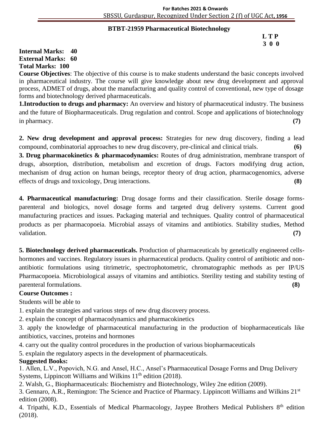#### **BTBT-21959 Pharmaceutical Biotechnology )**

#### **L T P 3 0 0**

## **Internal Marks: 40 External Marks: 60 Total Marks: 100**

**Course Objectives**: The objective of this course is to make students understand the basic concepts involved in pharmaceutical industry. The course will give knowledge about new drug development and approval process, ADMET of drugs, about the manufacturing and quality control of conventional, new type of dosage forms and biotechnology derived pharmaceuticals.

**1.Introduction to drugs and pharmacy:** An overview and history of pharmaceutical industry. The business and the future of Biopharmaceuticals. Drug regulation and control. Scope and applications of biotechnology in pharmacy. **(7)**

**2. New drug development and approval process:** Strategies for new drug discovery, finding a lead compound, combinatorial approaches to new drug discovery, pre-clinical and clinical trials. **(6)**

**3. Drug pharmacokinetics & pharmacodynamics:** Routes of drug administration, membrane transport of drugs, absorption, distribution, metabolism and excretion of drugs. Factors modifying drug action, mechanism of drug action on human beings, receptor theory of drug action, pharmacogenomics, adverse effects of drugs and toxicology, Drug interactions. **(8)**

**4. Pharmaceutical manufacturing:** Drug dosage forms and their classification. Sterile dosage formsparenteral and biologics, novel dosage forms and targeted drug delivery systems. Current good manufacturing practices and issues. Packaging material and techniques. Quality control of pharmaceutical products as per pharmacopoeia. Microbial assays of vitamins and antibiotics. Stability studies, Method validation. **(7)**

**5. Biotechnology derived pharmaceuticals.** Production of pharmaceuticals by genetically engineered cellshormones and vaccines. Regulatory issues in pharmaceutical products. Quality control of antibiotic and nonantibiotic formulations using titrimetric, spectrophotometric, chromatographic methods as per IP/US Pharmacopoeia. Microbiological assays of vitamins and antibiotics. Sterility testing and stability testing of parenteral formulations. **(8)**

# **Course Outcomes :**

Students will be able to

1. explain the strategies and various steps of new drug discovery process.

2. explain the concept of pharmacodynamics and pharmacokinetics

3. apply the knowledge of pharmaceutical manufacturing in the production of biopharmaceuticals like antibiotics, vaccines, proteins and hormones

4. carry out the quality control procedures in the production of various biopharmaceuticals

5. explain the regulatory aspects in the development of pharmaceuticals.

# **Suggested Books:**

1. Allen, L.V., Popovich, N.G. and Ansel, H.C., Ansel's Pharmaceutical Dosage Forms and Drug Delivery Systems, Lippincott Williams and Wilkins 11<sup>th</sup> edition (2018).

2. Walsh, G., Biopharmaceuticals: Biochemistry and Biotechnology, Wiley 2ne edition (2009).

3. Gennaro, A.R., Remington: The Science and Practice of Pharmacy. Lippincott Williams and Wilkins 21st edition (2008).

4. Tripathi, K.D., Essentials of Medical Pharmacology, Jaypee Brothers Medical Publishers 8<sup>th</sup> edition (2018).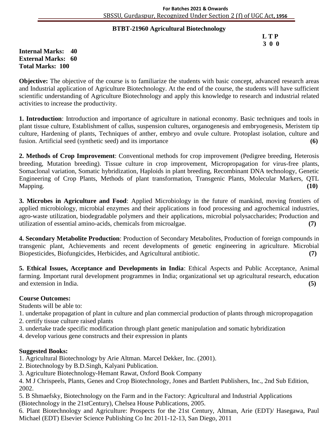#### **BTBT-21960 Agricultural Biotechnology )**

| LTP |
|-----|
| 300 |

#### **Internal Marks: 40 External Marks: 60 Total Marks: 100**

**Objective:** The objective of the course is to familiarize the students with basic concept, advanced research areas and Industrial application of Agriculture Biotechnology. At the end of the course, the students will have sufficient scientific understanding of Agriculture Biotechnology and apply this knowledge to research and industrial related activities to increase the productivity.

**1. Introduction**: Introduction and importance of agriculture in national economy. Basic techniques and tools in plant tissue culture, Establishment of callus, suspension cultures, organogenesis and embryogenesis, Meristem tip culture, Hardening of plants, Techniques of anther, embryo and ovule culture. Protoplast isolation, culture and fusion. Artificial seed (synthetic seed) and its importance **(6)**

**2. Methods of Crop Improvement**: Conventional methods for crop improvement (Pedigree breeding, Heterosis breeding, Mutation breeding). Tissue culture in crop improvement, Micropropagation for virus-free plants, Somaclonal variation, Somatic hybridization, Haploids in plant breeding, Recombinant DNA technology, Genetic Engineering of Crop Plants, Methods of plant transformation, Transgenic Plants, Molecular Markers, QTL Mapping. **(10)**

**3. Microbes in Agriculture and Food**: Applied Microbiology in the future of mankind, moving frontiers of applied microbiology, microbial enzymes and their applications in food processing and agrochemical industries, agro-waste utilization, biodegradable polymers and their applications, microbial polysaccharides; Production and utilization of essential amino-acids, chemicals from microalgae. **(7)**

**4. Secondary Metabolite Production**: Production of Secondary Metabolites, Production of foreign compounds in transgenic plant, Achievements and recent developments of genetic engineering in agriculture. Microbial Biopesticides, Biofungicides, Herbicides, and Agricultural antibiotic. **(7)**

**5. Ethical Issues, Acceptance and Developments in India**: Ethical Aspects and Public Acceptance, Animal farming. Important rural development programmes in India; organizational set up agricultural research, education and extension in India. **(5)**

# **Course Outcomes:**

Students will be able to:

- 1. undertake propagation of plant in culture and plan commercial production of plants through micropropagation
- 2. certify tissue culture raised plants
- 3. undertake trade specific modification through plant genetic manipulation and somatic hybridization
- 4. develop various gene constructs and their expression in plants

# **Suggested Books:**

- 1. Agricultural Biotechnology by Arie Altman. Marcel Dekker, Inc. (2001).
- 2. Biotechnology by B.D.Singh, Kalyani Publication.
- 3. Agriculture Biotechnology-Hemant Rawat, Oxford Book Company
- 4. M J Chrispeels, Plants, Genes and Crop Biotechnology, Jones and Bartlett Publishers, Inc., 2nd Sub Edition, 2002.
- 5. B Shmaefsky, Biotechnology on the Farm and in the Factory: Agricultural and Industrial Applications (Biotechnology in the 21stCentury), Chelsea House Publications, 2005.

6. Plant Biotechnology and Agriculture: Prospects for the 21st Century, Altman, Arie (EDT)/ Hasegawa, Paul Michael (EDT) Elsevier Science Publishing Co Inc 2011-12-13, San Diego, 2011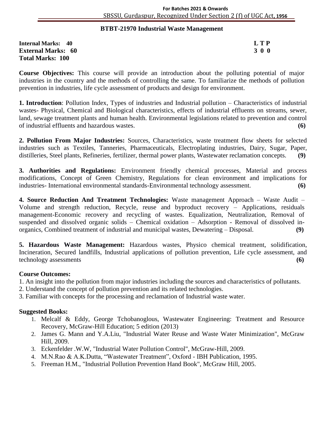#### **BTBT-21970 Industrial Waste Management )**

**Internal Marks: 40 L T P External Marks: 60 3 0 0** 3 0 0 3 0 0 3 0 0 3 0 0 3 0 0 3 0 0 3 0 0 3 0 0 3 0 0 3 0  $\sigma$ **Total Marks: 100** 

**Course Objectives:** This course will provide an introduction about the polluting potential of major industries in the country and the methods of controlling the same. To familiarize the methods of pollution prevention in industries, life cycle assessment of products and design for environment.

**1. Introduction**: Pollution Index, Types of industries and Industrial pollution – Characteristics of industrial wastes- Physical, Chemical and Biological characteristics, effects of industrial effluents on streams, sewer, land, sewage treatment plants and human health. Environmental legislations related to prevention and control of industrial effluents and hazardous wastes. **(6)**

**2. Pollution From Major Industries:** Sources, Characteristics, waste treatment flow sheets for selected industries such as Textiles, Tanneries, Pharmaceuticals, Electroplating industries, Dairy, Sugar, Paper, distilleries, Steel plants, Refineries, fertilizer, thermal power plants, Wastewater reclamation concepts. **(9)**

**3. Authorities and Regulations:** Environment friendly chemical processes, Material and process modifications, Concept of Green Chemistry, Regulations for clean environment and implications for industries- International environmental standards-Environmental technology assessment. **(6)**

**4. Source Reduction And Treatment Technologies:** Waste management Approach – Waste Audit – Volume and strength reduction, Recycle, reuse and byproduct recovery – Applications, residuals management-Economic recovery and recycling of wastes. Equalization, Neutralization, Removal of suspended and dissolved organic solids – Chemical oxidation – Adsorption - Removal of dissolved inorganics, Combined treatment of industrial and municipal wastes, Dewatering – Disposal. **(9)**

**5. Hazardous Waste Management:** Hazardous wastes, Physico chemical treatment, solidification, Incineration, Secured landfills, Industrial applications of pollution prevention, Life cycle assessment, and technology assessments **(6)**

#### **Course Outcomes:**

- 1. An insight into the pollution from major industries including the sources and characteristics of pollutants.
- 2. Understand the concept of pollution prevention and its related technologies.
- 3. Familiar with concepts for the processing and reclamation of Industrial waste water.

- 1. Melcalf & Eddy, George Tchobanoglous, Wastewater Engineering: Treatment and Resource Recovery, McGraw-Hill Education; 5 edition (2013)
- 2. James G. Mann and Y.A.Liu, "Industrial Water Reuse and Waste Water Minimization", McGraw Hill, 2009.
- 3. Eckenfelder .W.W, "Industrial Water Pollution Control", McGraw-Hill, 2009.
- 4. M.N.Rao & A.K.Dutta, "Wastewater Treatment", Oxford IBH Publication, 1995.
- 5. Freeman H.M., "Industrial Pollution Prevention Hand Book", McGraw Hill, 2005.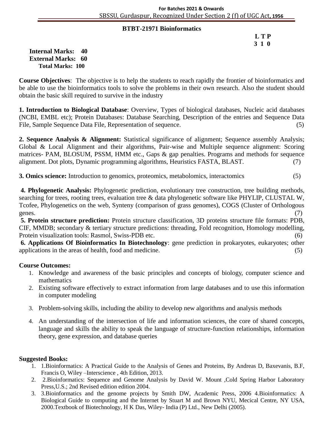#### **BTBT-21971 Bioinformatics )**

 **L T P 3 1 0**

**Internal Marks: 40 External Marks: 60 Total Marks: 100** 

**Course Objectives**: The objective is to help the students to reach rapidly the frontier of bioinformatics and be able to use the bioinformatics tools to solve the problems in their own research. Also the student should obtain the basic skill required to survive in the industry

**1. Introduction to Biological Database**: Overview, Types of biological databases, Nucleic acid databases (NCBI, EMBL etc); Protein Databases: Database Searching, Description of the entries and Sequence Data File, Sample Sequence Data File, Representation of sequence. (5)

**2. Sequence Analysis & Alignment:** Statistical significance of alignment; Sequence assembly Analysis; Global & Local Alignment and their algorithms, Pair-wise and Multiple sequence alignment: Scoring matrices- PAM, BLOSUM, PSSM, HMM etc., Gaps & gap penalties. Programs and methods for sequence alignment. Dot plots, Dynamic programming algorithms, Heuristics FASTA, BLAST. (7)

**3. Omics science:** Introduction to genomics, proteomics, metabolomics, interactomics (5)

**4. Phylogenetic Analysis:** Phylogenetic prediction, evolutionary tree construction, tree building methods, searching for trees, rooting trees, evaluation tree & data phylogenetic software like PHYLIP, CLUSTAL W, Tcofee, Phylogenetics on the web, Synteny (comparison of grass genomes), COGS (Cluster of Orthologous genes. (7)

**5. Protein structure prediction:** Protein structure classification, 3D proteins structure file formats: PDB, CIF, MMDB; secondary & tertiary structure predictions: threading, Fold recognition, Homology modelling, Protein visualization tools: Rasmol, Swiss-PDB etc. (6)

**6. Applications Of Bioinformatics In Biotechnology**: gene prediction in prokaryotes, eukaryotes; other applications in the areas of health, food and medicine. (5)

#### **Course Outcomes:**

- 1. Knowledge and awareness of the basic principles and concepts of biology, computer science and mathematics
- 2. Existing software effectively to extract information from large databases and to use this information in computer modeling
- 3. Problem-solving skills, including the ability to develop new algorithms and analysis methods
- 4. An understanding of the intersection of life and information sciences, the core of shared concepts, language and skills the ability to speak the language of structure-function relationships, information theory, gene expression, and database queries

- 1. 1.Bioinformatics: A Practical Guide to the Analysis of Genes and Proteins, By Andreas D, Baxevanis, B.F, Francis O, Wiley –Interscience , 4th Edition, 2013.
- 2. 2.Bioinformatics: Sequence and Genome Analysis by David W. Mount ,Cold Spring Harbor Laboratory Press,U.S.; 2nd Revised edition edition 2004.
- 3. 3.Bioinformatics and the genome projects by Smith DW, Academic Press, 2006 4.Bioinformatics: A Biological Guide to computing and the Internet by Stuart M and Brown NYU, Mecical Centre, NY USA, 2000.Textbook of Biotechnology, H K Das, Wiley- India (P) Ltd., New Delhi (2005).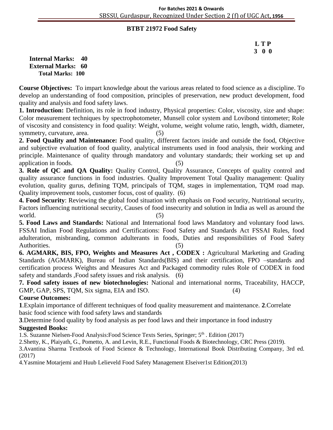#### **BTBT 21972 Food Safety)**

# **L T P 3 0 0**

**Internal Marks: 40 External Marks: 60 Total Marks: 100** 

**Course Objectives:** To impart knowledge about the various areas related to food science as a discipline. To develop an understanding of food composition, principles of preservation, new product development, food quality and analysis and food safety laws.

**1. Introduction:** Definition, its role in food industry, Physical properties: Color, viscosity, size and shape: Color measurement techniques by spectrophotometer, Munsell color system and Lovibond tintometer; Role of viscosity and consistency in food quality: Weight, volume, weight volume ratio, length, width, diameter, symmetry, curvature, area. (5)

**2. Food Quality and Maintenance:** Food quality, different factors inside and outside the food, Objective and subjective evaluation of food quality, analytical instruments used in food analysis, their working and principle. Maintenance of quality through mandatory and voluntary standards; their working set up and application in foods. (5)

**3. Role of QC and QA Quality:** Quality Control, Quality Assurance, Concepts of quality control and quality assurance functions in food industries. Quality Improvement Total Quality management: Quality evolution, quality gurus, defining TQM, principals of TQM, stages in implementation, TQM road map. Quality improvement tools, customer focus, cost of quality. (6)

**4. Food Security**: Reviewing the global food situation with emphasis on Food security, Nutritional security, Factors influencing nutritional security, Causes of food insecurity and solution in India as well as around the  $\text{world.}$  (5)

**5. Food Laws and Standards:** National and International food laws Mandatory and voluntary food laws. FSSAI Indian Food Regulations and Certifications: Food Safety and Standards Act FSSAI Rules, food adulteration, misbranding, common adulterants in foods, Duties and responsibilities of Food Safety Authorities. (5)

**6. AGMARK, BIS, FPO, Weights and Measures Act , CODEX :** Agricultural Marketing and Grading Standards (AGMARK), Bureau of Indian Standards(BIS) and their certification, FPO –standards and certification process Weights and Measures Act and Packaged commodity rules Role of CODEX in food safety and standards ,Food safety issues and risk analysis. (6)

**7. Food safety issues of new biotechnologies:** National and international norms, Traceability, HACCP, GMP, GAP, SPS, TQM, Six sigma, EIA and ISO. (4)

# **Course Outcomes:**

**1**.Explain importance of different techniques of food quality measurement and maintenance. **2**.Correlate basic food science with food safety laws and standards

**3**.Determine food quality by food analysis as per food laws and their importance in food industry

# **Suggested Books:**

1.S. Suzanne Nielsen-Food Analysis: Food Science Texts Series, Springer;  $5<sup>th</sup>$ . Edition (2017)

2.Shetty, K., Plaiyath, G., Pometto, A. and Levin, R.E., Functional Foods & Biotechnology, CRC Press (2019).

3.Avantina Sharma Textbook of Food Science & Technology, International Book Distributing Company, 3rd ed. (2017)

4.Yasmine Motarjemi and Huub Lelieveld Food Safety Management Elseiver1st Edition(2013)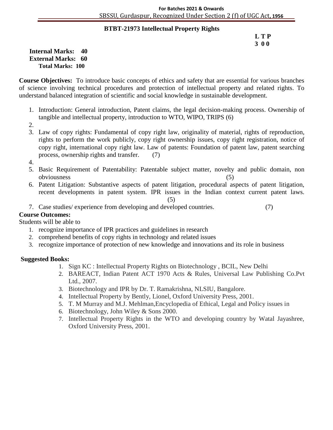#### **BTBT-21973 Intellectual Property Rights )**

#### **L T P 3 0 0**

**Internal Marks: 40 External Marks: 60 Total Marks: 100** 

**Course Objectives:** To introduce basic concepts of ethics and safety that are essential for various branches of science involving technical procedures and protection of intellectual property and related rights. To understand balanced integration of scientific and social knowledge in sustainable development.

- 1. Introduction: General introduction, Patent claims, the legal decision-making process. Ownership of tangible and intellectual property, introduction to WTO, WIPO, TRIPS (6)
- 2.
- 3. Law of copy rights: Fundamental of copy right law, originality of material, rights of reproduction, rights to perform the work publicly, copy right ownership issues, copy right registration, notice of copy right, international copy right law. Law of patents: Foundation of patent law, patent searching process, ownership rights and transfer. (7)
- 4.
- 5. Basic Requirement of Patentability: Patentable subject matter, novelty and public domain, non obviousness (5)
- 6. Patent Litigation: Substantive aspects of patent litigation, procedural aspects of patent litigation, recent developments in patent system. IPR issues in the Indian context current patent laws.

(5)

7. Case studies/ experience from developing and developed countries. (7)

# **Course Outcomes:**

# Students will be able to

- 1. recognize importance of IPR practices and guidelines in research
- 2. comprehend benefits of copy rights in technology and related issues
- 3. recognize importance of protection of new knowledge and innovations and its role in business

- 1. Sign KC : Intellectual Property Rights on Biotechnology , BCIL, New Delhi
- 2. BAREACT, Indian Patent ACT 1970 Acts & Rules, Universal Law Publishing Co.Pvt Ltd., 2007.
- 3. Biotechnology and IPR by Dr. T. Ramakrishna, NLSIU, Bangalore.
- 4. Intellectual Property by Bently, Lionel, Oxford University Press, 2001.
- 5. T. M Murray and M.J. Mehlman,Encyclopedia of Ethical, Legal and Policy issues in
- 6. Biotechnology, John Wiley & Sons 2000.
- 7. Intellectual Property Rights in the WTO and developing country by Watal Jayashree, Oxford University Press, 2001.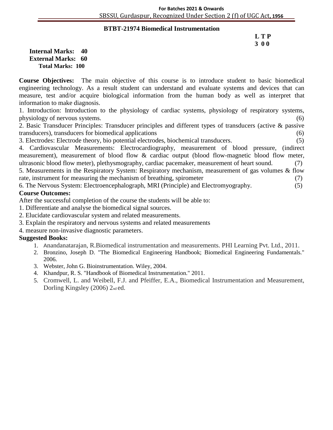#### **BTBT-21974 Biomedical Instrumentation )**

#### **L T P 3 0 0**

**Internal Marks: 40 External Marks: 60 Total Marks: 100** 

**Course Objectives:** The main objective of this course is to introduce student to basic biomedical engineering technology. As a result student can understand and evaluate systems and devices that can measure, test and/or acquire biological information from the human body as well as interpret that information to make diagnosis.

1. Introduction: Introduction to the physiology of cardiac systems, physiology of respiratory systems, physiology of nervous systems. (6)

2. Basic Transducer Principles: Transducer principles and different types of transducers (active & passive transducers), transducers for biomedical applications (6)

3. Electrodes: Electrode theory, bio potential electrodes, biochemical transducers. (5)

4. Cardiovascular Measurements: Electrocardiography, measurement of blood pressure, (indirect measurement), measurement of blood flow & cardiac output (blood flow-magnetic blood flow meter, ultrasonic blood flow meter), plethysmography, cardiac pacemaker, measurement of heart sound. (7) 5. Measurements in the Respiratory System: Respiratory mechanism, measurement of gas volumes & flow

rate, instrument for measuring the mechanism of breathing, spirometer (7)

6. The Nervous System: Electroencephalograph, MRI (Principle) and Electromyography. (5) **Course Outcomes:**

After the successful completion of the course the students will be able to:

- 1. Differentiate and analyse the biomedical signal sources.
- 2. Elucidate cardiovascular system and related measurements.
- 3. Explain the respiratory and nervous systems and related measurements
- 4. measure non-invasive diagnostic parameters.

- 1. Anandanatarajan, R.Biomedical instrumentation and measurements. PHI Learning Pvt. Ltd., 2011.
- 2. Bronzino, Joseph D. "The Biomedical Engineering Handbook; Biomedical Engineering Fundamentals." 2006.
- 3. Webster, John G. Bioinstrumentation. Wiley, 2004.
- 4. Khandpur, R. S. "Handbook of Biomedical Instrumentation." 2011.
- 5. Cromwell, L. and Weibell, F.J. and Pfeiffer, E.A., Biomedical Instrumentation and Measurement, Dorling Kingsley (2006) 2nd ed.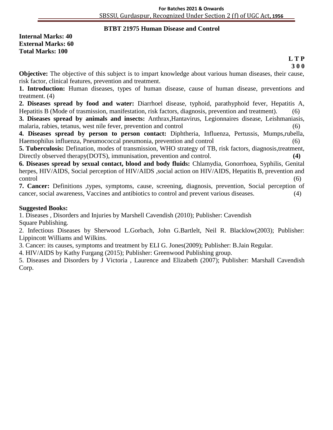#### **BTBT 21975 Human Disease and Control )**

**Internal Marks: 40 External Marks: 60 Total Marks: 100**

#### **L T P 3 0 0**

**Objective:** The objective of this subject is to impart knowledge about various human diseases, their cause, risk factor, clinical features, prevention and treatment.

**1. Introduction:** Human diseases, types of human disease, cause of human disease, preventions and treatment. (4)

**2. Diseases spread by food and water:** Diarrhoel disease, typhoid, parathyphoid fever, Hepatitis A, Hepatitis B (Mode of trasmission, manifestation, risk factors, diagnosis, prevention and treatment). (6)

**3. Diseases spread by animals and insects:** Anthrax,Hantavirus, Legionnaires disease, Leishmaniasis, malaria, rabies, tetanus, west nile fever, prevention and control (6)

**4. Diseases spread by person to person contact:** Diphtheria, Influenza, Pertussis, Mumps,rubella, Haemophilus influenza, Pneumococcal pneumonia, prevention and control (6)

**5. Tuberculosis:** Defination, modes of transmission, WHO strategy of TB, risk factors, diagnosis,treatment, Directly observed therapy(DOTS), immunisation, prevention and control.

**6. Diseases spread by sexual contact, blood and body fluids:** Chlamydia, Gonorrhoea, Syphilis, Genital herpes, HIV/AIDS, Social perception of HIV/AIDS, social action on HIV/AIDS, Hepatitis B, prevention and control (6)

**7. Cancer:** Definitions ,types, symptoms, cause, screening, diagnosis, prevention, Social perception of cancer, social awareness, Vaccines and antibiotics to control and prevent various diseases. (4)

#### **Suggested Books:**

1. Diseases , Disorders and Injuries by Marshell Cavendish (2010); Publisher: Cavendish Square Publishing.

2. Infectious Diseases by Sherwood L.Gorbach, John G.Bartlelt, Neil R. Blacklow(2003); Publisher: Lippincott Williams and Wilkins.

3. Cancer: its causes, symptoms and treatment by ELI G. Jones(2009); Publisher: B.Jain Regular.

4. HIV/AIDS by Kathy Furgang (2015); Publisher: Greenwood Publishing group.

5. Diseases and Disorders by J Victoria , Laurence and Elizabeth (2007); Publisher: Marshall Cavendish Corp.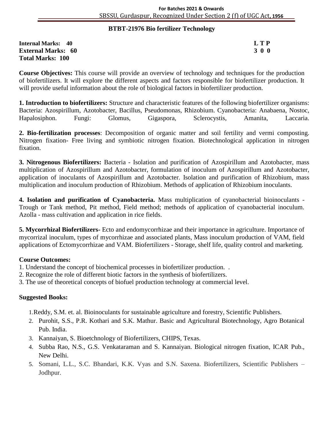#### **BTBT-21976 Bio fertilizer Technology )**

**Internal Marks: 40 L T P External Marks: 60 3 0 0** 3 0 0 3 0 0 3 0 0 3 0 0 3 0 0 3 0 0 3 0 0 3 0 0 3 0 0 3 0  $\sigma$ **Total Marks: 100** 

**Course Objectives:** This course will provide an overview of technology and techniques for the production of biofertilizers. It will explore the different aspects and factors responsible for biofertilizer production. It will provide useful information about the role of biological factors in biofertilizer production.

**1. Introduction to biofertilizers:** Structure and characteristic features of the following biofertilizer organisms: Bacteria: Azospirillum, Azotobacter, Bacillus, Pseudomonas, Rhizobium. Cyanobacteria: Anabaena, Nostoc, Hapalosiphon. Fungi: Glomus, Gigaspora, Sclerocystis, Amanita, Laccaria.

**2. Bio-fertilization processes**: Decomposition of organic matter and soil fertility and vermi composting. Nitrogen fixation- Free living and symbiotic nitrogen fixation. Biotechnological application in nitrogen fixation.

**3. Nitrogenous Biofertilizers:** Bacteria - Isolation and purification of Azospirillum and Azotobacter, mass multiplication of Azospirillum and Azotobacter, formulation of inoculum of Azospirillum and Azotobacter, application of inoculants of Azospirillum and Azotobacter. Isolation and purification of Rhizobium, mass multiplication and inoculum production of Rhizobium. Methods of application of Rhizobium inoculants.

**4. Isolation and purification of Cyanobacteria.** Mass multiplication of cyanobacterial bioinoculants - Trough or Tank method, Pit method, Field method; methods of application of cyanobacterial inoculum. Azolla - mass cultivation and application in rice fields.

**5. Mycorrhizal Biofertilizers-** Ecto and endomycorrhizae and their importance in agriculture. Importance of mycorrizal inoculum, types of mycorrhizae and associated plants, Mass inoculum production of VAM, field applications of Ectomycorrhizae and VAM. Biofertilizers - Storage, shelf life, quality control and marketing.

#### **Course Outcomes:**

- 1. Understand the concept of biochemical processes in biofertilizer production. .
- 2. Recognize the role of different biotic factors in the synthesis of biofertilizers.
- 3. The use of theoretical concepts of biofuel production technology at commercial level.

#### **Suggested Books:**

1.Reddy, S.M. et. al. Bioinoculants for sustainable agriculture and forestry, Scientific Publishers.

- 2. Purohit, S.S., P.R. Kothari and S.K. Mathur. Basic and Agricultural Biotechnology, Agro Botanical Pub. India.
- 3. Kannaiyan, S. Bioetchnology of Biofertilizers, CHIPS, Texas.
- 4. Subba Rao, N.S., G.S. Venkataraman and S. Kannaiyan. Biological nitrogen fixation, ICAR Pub., New Delhi.
- 5. Somani, L.L., S.C. Bhandari, K.K. Vyas and S.N. Saxena. Biofertilizers, Scientific Publishers Jodhpur.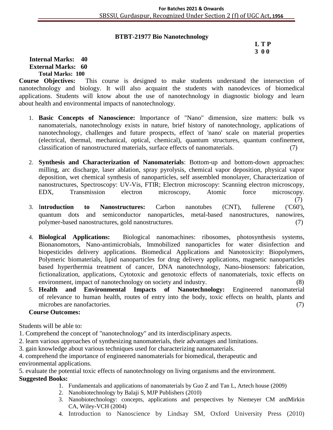#### **BTBT-21977 Bio Nanotechnology**

# **L T P 3 0 0**

(7)

#### **Internal Marks: 40 External Marks: 60 Total Marks: 100**

**Course Objectives:** This course is designed to make students understand the intersection of nanotechnology and biology. It will also acquaint the students with nanodevices of biomedical applications. Students will know about the use of nanotechnology in diagnostic biology and learn about health and environmental impacts of nanotechnology.

- 1. **Basic Concepts of Nanoscience:** Importance of "Nano" dimension, size matters: bulk vs nanomaterials, nanotechnology exists in nature, brief history of nanotechnology, applications of nanotechnology, challenges and future prospects, effect of 'nano' scale on material properties (electrical, thermal, mechanical, optical, chemical), quantum structures, quantum confinement, classification of nanostructured materials, surface effects of nanomaterials. (7)
- 2. **Synthesis and Characterization of Nanomaterials**: Bottom-up and bottom-down approaches: milling, arc discharge, laser ablation, spray pyrolysis, chemical vapor deposition, physical vapor deposition, wet chemical synthesis of nanoparticles, self assembled monolayer, Characterization of nanostructures, Spectroscopy: UV-Vis, FTIR; Electron microscopy: Scanning electron microscopy, EDX, Transmission electron microscopy, Atomic force microscopy.
- 3. I**ntroduction to Nanostructures:** Carbon nanotubes (CNT), fullerene ('C60'), quantum dots and semiconductor nanoparticles, metal-based nanostructures, nanowires, polymer-based nanostructures, gold nanostructures. (7)
- 4. **Biological Applications:** Biological nanomachines: ribosomes, photosynthesis systems, Bionanomotors, Nano-antimicrobials, Immobilized nanoparticles for water disinfection and biopesticides delivery applications. Biomedical Applications and Nanotoxicity: Biopolymers, Polymeric biomaterials, lipid nanoparticles for drug delivery applications, magnetic nanoparticles based hyperthermia treatment of cancer, DNA nanotechnology, Nano-biosensors: fabrication, fictionalization, applications, Cytotoxic and genotoxic effects of nanomaterials, toxic effects on environment, impact of nanotechnology on society and industry. (8)
- 5. **Health and Environmental Impacts of Nanotechnology:** Engineered nanomaterial of relevance to human health, routes of entry into the body, toxic effects on health, plants and microbes are nanofactories. (7)

#### **Course Outcomes:**

Students will be able to:

- 1. Comprehend the concept of "nanotechnology" and its interdisciplinary aspects.
- 2. learn various approaches of synthesizing nanomaterials, their advantages and limitations.
- 3. gain knowledge about various techniques used for characterizing nanomaterials.
- 4. comprehend the importance of engineered nanomaterials for biomedical, therapeutic and

environmental applications.

5. evaluate the potential toxic effects of nanotechnology on living organisms and the environment.

- 1. Fundamentals and applications of nanomaterials by Guo Z and Tan L, Artech house (2009)
- 2. Nanobiotechnology by Balaji S, MJP Publishers (2010)
- 3. Nanobiotechnology: concepts, applications and perspectives by Niemeyer CM andMirkin CA, Wiley-VCH (2004)
- 4. Introduction to Nanoscience by Lindsay SM, Oxford University Press (2010)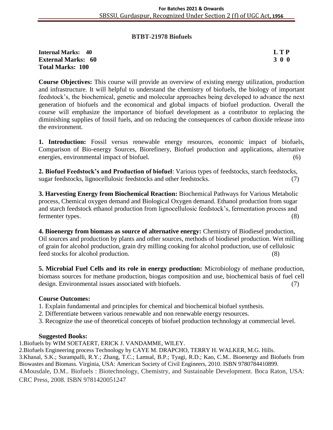#### **BTBT-21978 Biofuels**

#### **Internal Marks: 40 L T P External Marks: 60 3 0 0** 3 0 0 3 0 0 3 0 0 3 0 0 3 0 0 3 0 0 3 0 0 3 0 0 3 0 0 3 0 4  $\sigma$ **Total Marks: 100**

**Course Objectives:** This course will provide an overview of existing energy utilization, production and infrastructure. It will helpful to understand the chemistry of biofuels, the biology of important feedstock's, the biochemical, genetic and molecular approaches being developed to advance the next generation of biofuels and the economical and global impacts of biofuel production. Overall the course will emphasize the importance of biofuel development as a contributor to replacing the diminishing supplies of fossil fuels, and on reducing the consequences of carbon dioxide release into the environment.

**1. Introduction:** Fossil versus renewable energy resources, economic impact of biofuels, Comparison of Bio-energy Sources, Biorefinery, Biofuel production and applications, alternative energies, environmental impact of biofuel. (6)

**2. Biofuel Feedstock's and Production of biofuel**: Various types of feedstocks, starch feedstocks, sugar feedstocks, lignocellulosic feedstocks and other feedstocks. (7)

**3. Harvesting Energy from Biochemical Reaction:** Biochemical Pathways for Various Metabolic process, Chemical oxygen demand and Biological Oxygen demand. Ethanol production from sugar and starch feedstock ethanol production from lignocellulosic feedstock's, fermentation process and fermenter types. (8)

**4. Bioenergy from biomass as source of alternative energy:** Chemistry of Biodiesel production, Oil sources and production by plants and other sources, methods of biodiesel production. Wet milling of grain for alcohol production, grain dry milling cooking for alcohol production, use of cellulosic feed stocks for alcohol production. (8)

**5. Microbial Fuel Cells and its role in energy production:** Microbiology of methane production, biomass sources for methane production, biogas composition and use, biochemical basis of fuel cell design. Environmental issues associated with biofuels. (7)

#### **Course Outcomes:**

- 1. Explain fundamental and principles for chemical and biochemical biofuel synthesis.
- 2. Differentiate between various renewable and non renewable energy resources.
- 3. Recognize the use of theoretical concepts of biofuel production technology at commercial level.

#### **Suggested Books:**

1.Biofuels by WIM SOETAERT, ERICK J. VANDAMME, WILEY.

2.Biofuels Engineering process Technology by CAYE M. DRAPCHO, TERRY H. WALKER, M.G. Hills. 3.Khanal, S.K.; Surampalli, R.Y.; Zhang, T.C.; Lamsal, B.P.; Tyagi, R.D.; Kao, C.M.. Bioenergy and Biofuels from Biowastes and Biomass. Virginia, USA: American Society of Civil Engineers, 2010. ISBN 9780784410899. 4.Mousdale, D.M.. Biofuels : Biotechnology, Chemistry, and Sustainable Development. Boca Raton, USA: CRC Press, 2008. ISBN 9781420051247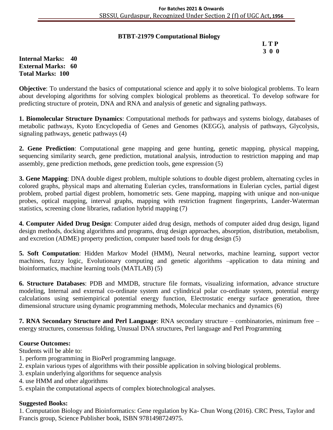#### **BTBT-21979 Computational Biology**

# **L T P 3 0 0**

**Internal Marks: 40 External Marks: 60 Total Marks: 100** 

**Objective**: To understand the basics of computational science and apply it to solve biological problems. To learn about developing algorithms for solving complex biological problems as theoretical. To develop software for predicting structure of protein, DNA and RNA and analysis of genetic and signaling pathways.

**1. Biomolecular Structure Dynamics**: Computational methods for pathways and systems biology, databases of metabolic pathways, Kyoto Encyclopedia of Genes and Genomes (KEGG), analysis of pathways, Glycolysis, signaling pathways, genetic pathways (4)

**2. Gene Prediction**: Computational gene mapping and gene hunting, genetic mapping, physical mapping, sequencing similarity search, gene prediction, mutational analysis, introduction to restriction mapping and map assembly, gene prediction methods, gene prediction tools, gene expression (5)

**3. Gene Mapping**: DNA double digest problem, multiple solutions to double digest problem, alternating cycles in colored graphs, physical maps and alternating Eulerian cycles, transformations in Eulerian cycles, partial digest problem, probed partial digest problem, homometric sets. Gene mapping, mapping with unique and non-unique probes, optical mapping, interval graphs, mapping with restriction fragment fingerprints, Lander-Waterman statistics, screening clone libraries, radiation hybrid mapping (7)

**4. Computer Aided Drug Design**: Computer aided drug design, methods of computer aided drug design, ligand design methods, docking algorithms and programs, drug design approaches, absorption, distribution, metabolism, and excretion (ADME) property prediction, computer based tools for drug design (5)

**5. Soft Computation**: Hidden Markov Model (HMM), Neural networks, machine learning, support vector machines, fuzzy logic, Evolutionary computing and genetic algorithms –application to data mining and bioinformatics, machine learning tools (MATLAB) (5)

**6. Structure Databases**: PDB and MMDB, structure file formats, visualizing information, advance structure modeling, Internal and external co-ordinate system and cylindrical polar co-ordinate system, potential energy calculations using semiempirical potential energy function, Electrostatic energy surface generation, three dimensional structure using dynamic programming methods, Molecular mechanics and dynamics (6)

**7. RNA Secondary Structure and Perl Language**: RNA secondary structure – combinatories, minimum free – energy structures, consensus folding, Unusual DNA structures, Perl language and Perl Programming

#### **Course Outcomes:**

Students will be able to:

- 1. perform programming in BioPerl programming language.
- 2. explain various types of algorithms with their possible application in solving biological problems.
- 3. explain underlying algorithms for sequence analysis
- 4. use HMM and other algorithms
- 5. explain the computational aspects of complex biotechnological analyses.

#### **Suggested Books:**

1. Computation Biology and Bioinformatics: Gene regulation by Ka- Chun Wong (2016). CRC Press, Taylor and Francis group, Science Publisher book, ISBN 9781498724975.